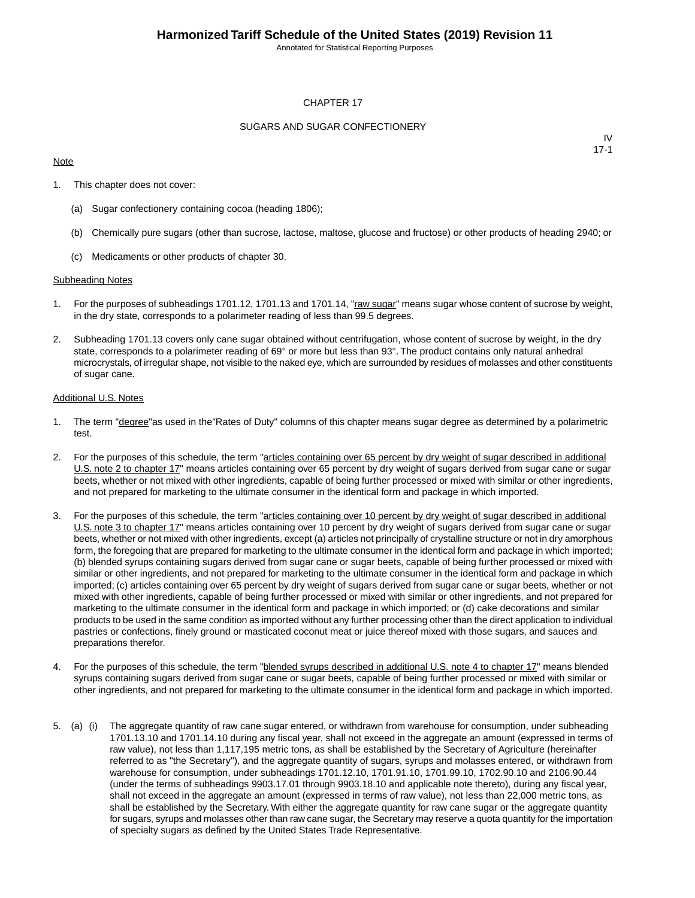Annotated for Statistical Reporting Purposes

#### CHAPTER 17

#### SUGARS AND SUGAR CONFECTIONERY

#### **Note**

IV 17-1

- 1. This chapter does not cover:
	- (a) Sugar confectionery containing cocoa (heading 1806);
	- (b) Chemically pure sugars (other than sucrose, lactose, maltose, glucose and fructose) or other products of heading 2940; or
	- (c) Medicaments or other products of chapter 30.

#### Subheading Notes

- 1. For the purposes of subheadings 1701.12, 1701.13 and 1701.14, "raw sugar" means sugar whose content of sucrose by weight, in the dry state, corresponds to a polarimeter reading of less than 99.5 degrees.
- 2. Subheading 1701.13 covers only cane sugar obtained without centrifugation, whose content of sucrose by weight, in the dry state, corresponds to a polarimeter reading of 69° or more but less than 93°. The product contains only natural anhedral microcrystals, of irregular shape, not visible to the naked eye, which are surrounded by residues of molasses and other constituents of sugar cane.

#### Additional U.S. Notes

- 1. The term "degree"as used in the"Rates of Duty" columns of this chapter means sugar degree as determined by a polarimetric test.
- 2. For the purposes of this schedule, the term "articles containing over 65 percent by dry weight of sugar described in additional U.S. note 2 to chapter 17" means articles containing over 65 percent by dry weight of sugars derived from sugar cane or sugar beets, whether or not mixed with other ingredients, capable of being further processed or mixed with similar or other ingredients, and not prepared for marketing to the ultimate consumer in the identical form and package in which imported.
- 3. For the purposes of this schedule, the term "articles containing over 10 percent by dry weight of sugar described in additional U.S. note 3 to chapter 17" means articles containing over 10 percent by dry weight of sugars derived from sugar cane or sugar beets, whether or not mixed with other ingredients, except (a) articles not principally of crystalline structure or not in dry amorphous form, the foregoing that are prepared for marketing to the ultimate consumer in the identical form and package in which imported; (b) blended syrups containing sugars derived from sugar cane or sugar beets, capable of being further processed or mixed with similar or other ingredients, and not prepared for marketing to the ultimate consumer in the identical form and package in which imported; (c) articles containing over 65 percent by dry weight of sugars derived from sugar cane or sugar beets, whether or not mixed with other ingredients, capable of being further processed or mixed with similar or other ingredients, and not prepared for marketing to the ultimate consumer in the identical form and package in which imported; or (d) cake decorations and similar products to be used in the same condition as imported without any further processing other than the direct application to individual pastries or confections, finely ground or masticated coconut meat or juice thereof mixed with those sugars, and sauces and preparations therefor.
- 4. For the purposes of this schedule, the term "**blended syrups described in additional U.S. note 4 to chapter 17**" means blended syrups containing sugars derived from sugar cane or sugar beets, capable of being further processed or mixed with similar or other ingredients, and not prepared for marketing to the ultimate consumer in the identical form and package in which imported.
- 5. (a) (i) The aggregate quantity of raw cane sugar entered, or withdrawn from warehouse for consumption, under subheading 1701.13.10 and 1701.14.10 during any fiscal year, shall not exceed in the aggregate an amount (expressed in terms of raw value), not less than 1,117,195 metric tons, as shall be established by the Secretary of Agriculture (hereinafter referred to as "the Secretary"), and the aggregate quantity of sugars, syrups and molasses entered, or withdrawn from warehouse for consumption, under subheadings 1701.12.10, 1701.91.10, 1701.99.10, 1702.90.10 and 2106.90.44 (under the terms of subheadings 9903.17.01 through 9903.18.10 and applicable note thereto), during any fiscal year, shall not exceed in the aggregate an amount (expressed in terms of raw value), not less than 22,000 metric tons, as shall be established by the Secretary. With either the aggregate quantity for raw cane sugar or the aggregate quantity for sugars, syrups and molasses other than raw cane sugar, the Secretary may reserve a quota quantity for the importation of specialty sugars as defined by the United States Trade Representative.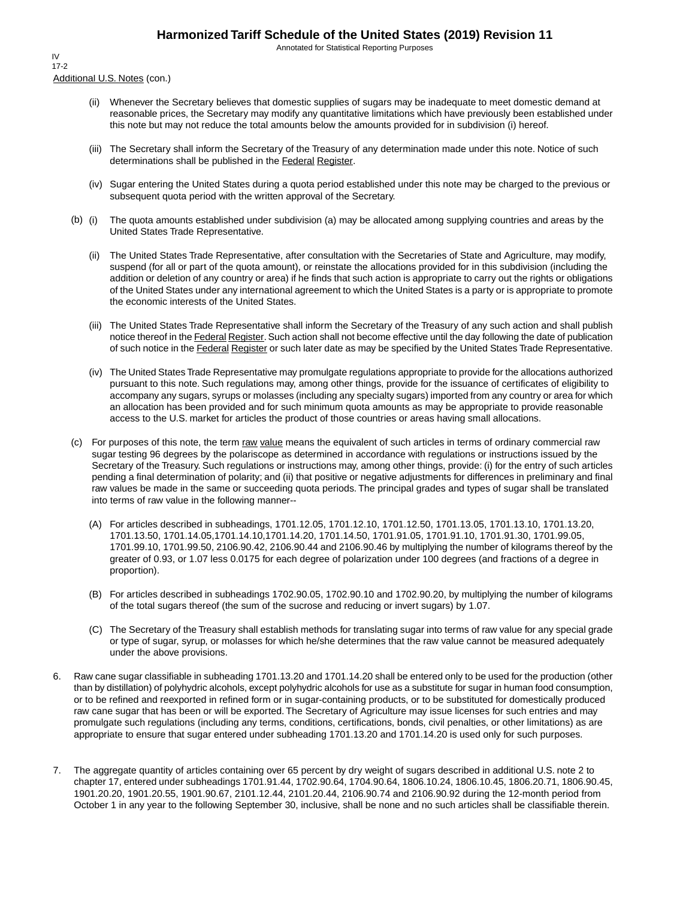Annotated for Statistical Reporting Purposes

Additional U.S. Notes (con.) IV 17-2

- (ii) Whenever the Secretary believes that domestic supplies of sugars may be inadequate to meet domestic demand at reasonable prices, the Secretary may modify any quantitative limitations which have previously been established under this note but may not reduce the total amounts below the amounts provided for in subdivision (i) hereof.
- (iii) The Secretary shall inform the Secretary of the Treasury of any determination made under this note. Notice of such determinations shall be published in the Federal Register.
- (iv) Sugar entering the United States during a quota period established under this note may be charged to the previous or subsequent quota period with the written approval of the Secretary.
- (b) (i) The quota amounts established under subdivision (a) may be allocated among supplying countries and areas by the United States Trade Representative.
	- (ii) The United States Trade Representative, after consultation with the Secretaries of State and Agriculture, may modify, suspend (for all or part of the quota amount), or reinstate the allocations provided for in this subdivision (including the addition or deletion of any country or area) if he finds that such action is appropriate to carry out the rights or obligations of the United States under any international agreement to which the United States is a party or is appropriate to promote the economic interests of the United States.
	- (iii) The United States Trade Representative shall inform the Secretary of the Treasury of any such action and shall publish notice thereof in the Federal Register. Such action shall not become effective until the day following the date of publication of such notice in the Federal Register or such later date as may be specified by the United States Trade Representative.
	- (iv) The United States Trade Representative may promulgate regulations appropriate to provide for the allocations authorized pursuant to this note. Such regulations may, among other things, provide for the issuance of certificates of eligibility to accompany any sugars, syrups or molasses (including any specialty sugars) imported from any country or area for which an allocation has been provided and for such minimum quota amounts as may be appropriate to provide reasonable access to the U.S. market for articles the product of those countries or areas having small allocations.
- (c) For purposes of this note, the term raw value means the equivalent of such articles in terms of ordinary commercial raw sugar testing 96 degrees by the polariscope as determined in accordance with regulations or instructions issued by the Secretary of the Treasury. Such regulations or instructions may, among other things, provide: (i) for the entry of such articles pending a final determination of polarity; and (ii) that positive or negative adjustments for differences in preliminary and final raw values be made in the same or succeeding quota periods. The principal grades and types of sugar shall be translated into terms of raw value in the following manner--
	- (A) For articles described in subheadings, 1701.12.05, 1701.12.10, 1701.12.50, 1701.13.05, 1701.13.10, 1701.13.20, 1701.13.50, 1701.14.05,1701.14.10,1701.14.20, 1701.14.50, 1701.91.05, 1701.91.10, 1701.91.30, 1701.99.05, 1701.99.10, 1701.99.50, 2106.90.42, 2106.90.44 and 2106.90.46 by multiplying the number of kilograms thereof by the greater of 0.93, or 1.07 less 0.0175 for each degree of polarization under 100 degrees (and fractions of a degree in proportion).
	- (B) For articles described in subheadings 1702.90.05, 1702.90.10 and 1702.90.20, by multiplying the number of kilograms of the total sugars thereof (the sum of the sucrose and reducing or invert sugars) by 1.07.
	- (C) The Secretary of the Treasury shall establish methods for translating sugar into terms of raw value for any special grade or type of sugar, syrup, or molasses for which he/she determines that the raw value cannot be measured adequately under the above provisions.
- 6. Raw cane sugar classifiable in subheading 1701.13.20 and 1701.14.20 shall be entered only to be used for the production (other than by distillation) of polyhydric alcohols, except polyhydric alcohols for use as a substitute for sugar in human food consumption, or to be refined and reexported in refined form or in sugar-containing products, or to be substituted for domestically produced raw cane sugar that has been or will be exported. The Secretary of Agriculture may issue licenses for such entries and may promulgate such regulations (including any terms, conditions, certifications, bonds, civil penalties, or other limitations) as are appropriate to ensure that sugar entered under subheading 1701.13.20 and 1701.14.20 is used only for such purposes.
- 7. The aggregate quantity of articles containing over 65 percent by dry weight of sugars described in additional U.S. note 2 to chapter 17, entered under subheadings 1701.91.44, 1702.90.64, 1704.90.64, 1806.10.24, 1806.10.45, 1806.20.71, 1806.90.45, 1901.20.20, 1901.20.55, 1901.90.67, 2101.12.44, 2101.20.44, 2106.90.74 and 2106.90.92 during the 12-month period from October 1 in any year to the following September 30, inclusive, shall be none and no such articles shall be classifiable therein.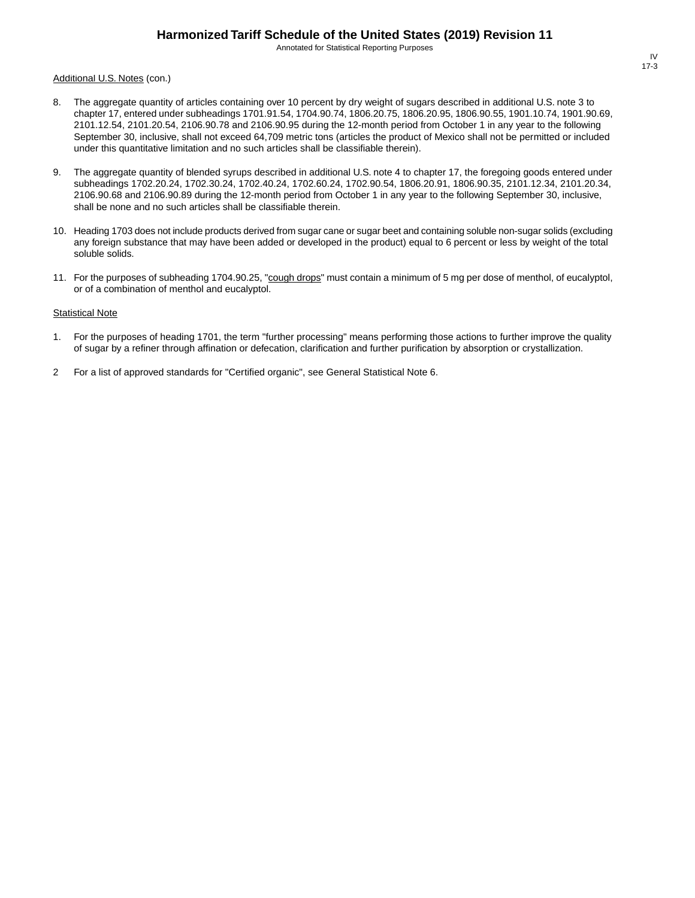Annotated for Statistical Reporting Purposes

#### Additional U.S. Notes (con.)

- 8. The aggregate quantity of articles containing over 10 percent by dry weight of sugars described in additional U.S. note 3 to chapter 17, entered under subheadings 1701.91.54, 1704.90.74, 1806.20.75, 1806.20.95, 1806.90.55, 1901.10.74, 1901.90.69, 2101.12.54, 2101.20.54, 2106.90.78 and 2106.90.95 during the 12-month period from October 1 in any year to the following September 30, inclusive, shall not exceed 64,709 metric tons (articles the product of Mexico shall not be permitted or included under this quantitative limitation and no such articles shall be classifiable therein).
- 9. The aggregate quantity of blended syrups described in additional U.S. note 4 to chapter 17, the foregoing goods entered under subheadings 1702.20.24, 1702.30.24, 1702.40.24, 1702.60.24, 1702.90.54, 1806.20.91, 1806.90.35, 2101.12.34, 2101.20.34, 2106.90.68 and 2106.90.89 during the 12-month period from October 1 in any year to the following September 30, inclusive, shall be none and no such articles shall be classifiable therein.
- 10. Heading 1703 does not include products derived from sugar cane or sugar beet and containing soluble non-sugar solids (excluding any foreign substance that may have been added or developed in the product) equal to 6 percent or less by weight of the total soluble solids.
- 11. For the purposes of subheading 1704.90.25, "cough drops" must contain a minimum of 5 mg per dose of menthol, of eucalyptol, or of a combination of menthol and eucalyptol.

#### **Statistical Note**

- 1. For the purposes of heading 1701, the term "further processing" means performing those actions to further improve the quality of sugar by a refiner through affination or defecation, clarification and further purification by absorption or crystallization.
- 2 For a list of approved standards for "Certified organic", see General Statistical Note 6.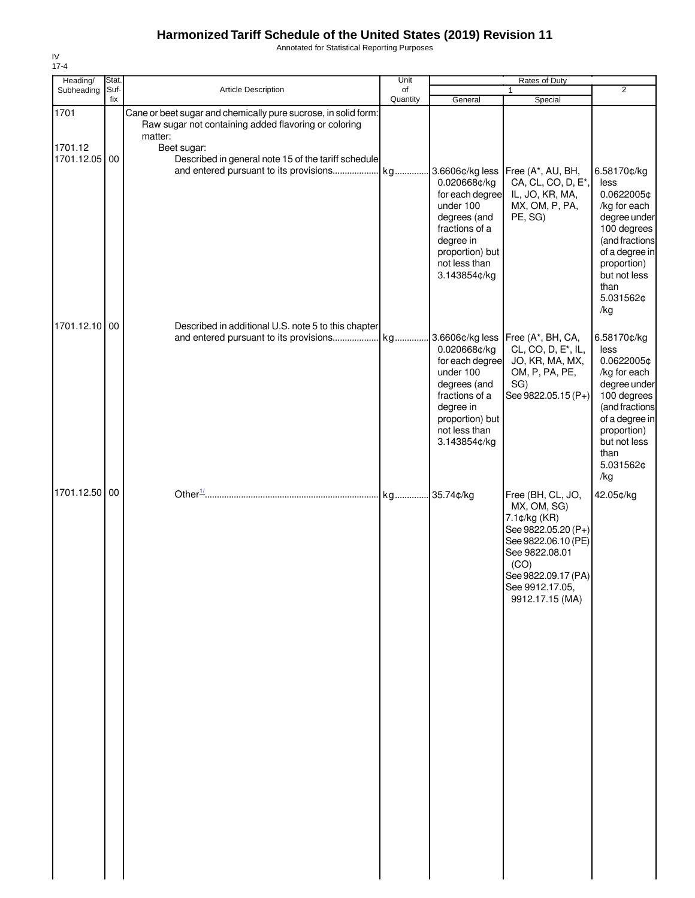Annotated for Statistical Reporting Purposes

| Heading/                         | Stat.       |                                                                                                                                                                                                         | Unit           |                                                                                                                                                                    | Rates of Duty                                                                                                                                                                         | $\overline{2}$                                                                                                                                                                  |
|----------------------------------|-------------|---------------------------------------------------------------------------------------------------------------------------------------------------------------------------------------------------------|----------------|--------------------------------------------------------------------------------------------------------------------------------------------------------------------|---------------------------------------------------------------------------------------------------------------------------------------------------------------------------------------|---------------------------------------------------------------------------------------------------------------------------------------------------------------------------------|
| Subheading                       | Suf-<br>fix | <b>Article Description</b>                                                                                                                                                                              | of<br>Quantity | General                                                                                                                                                            | $\mathbf{1}$<br>Special                                                                                                                                                               |                                                                                                                                                                                 |
| 1701<br>1701.12<br>1701.12.05 00 |             | Cane or beet sugar and chemically pure sucrose, in solid form:<br>Raw sugar not containing added flavoring or coloring<br>matter:<br>Beet sugar:<br>Described in general note 15 of the tariff schedule |                | 3.6606¢/kg less<br>0.020668¢/kg                                                                                                                                    | Free (A*, AU, BH,<br>CA, CL, CO, D, E*,                                                                                                                                               | 6.58170¢/kg<br>less                                                                                                                                                             |
| 1701.12.10 00                    |             |                                                                                                                                                                                                         |                | for each degree<br>under 100<br>degrees (and<br>fractions of a<br>degree in<br>proportion) but<br>not less than<br>3.143854¢/kg                                    | IL, JO, KR, MA,<br>MX, OM, P, PA,<br>PE, SG)                                                                                                                                          | 0.0622005¢<br>/kg for each<br>degree under<br>100 degrees<br>(and fractions<br>of a degree in<br>proportion)<br>but not less<br>than<br>5.031562¢<br>/kg                        |
|                                  |             | Described in additional U.S. note 5 to this chapter<br>and entered pursuant to its provisions                                                                                                           | kg             | 3.6606¢/kg less<br>0.020668¢/kg<br>for each degree<br>under 100<br>degrees (and<br>fractions of a<br>degree in<br>proportion) but<br>not less than<br>3.143854¢/kg | Free (A*, BH, CA,<br>CL, CO, D, E <sup>*</sup> , IL,<br>JO, KR, MA, MX,<br>OM, P, PA, PE,<br>SG)<br>See 9822.05.15 (P+)                                                               | 6.58170¢/kg<br>less<br>0.0622005¢<br>/kg for each<br>degree under<br>100 degrees<br>(and fractions<br>of a degree in<br>proportion)<br>but not less<br>than<br>5.031562¢<br>/kg |
| 1701.12.50 00                    |             |                                                                                                                                                                                                         |                |                                                                                                                                                                    | Free (BH, CL, JO,<br>MX, OM, SG)<br>7.1¢/kg (KR)<br>See 9822.05.20 (P+)<br>See 9822.06.10 (PE)<br>See 9822.08.01<br>(CO)<br>See 9822.09.17 (PA)<br>See 9912.17.05,<br>9912.17.15 (MA) | 42.05¢/kg                                                                                                                                                                       |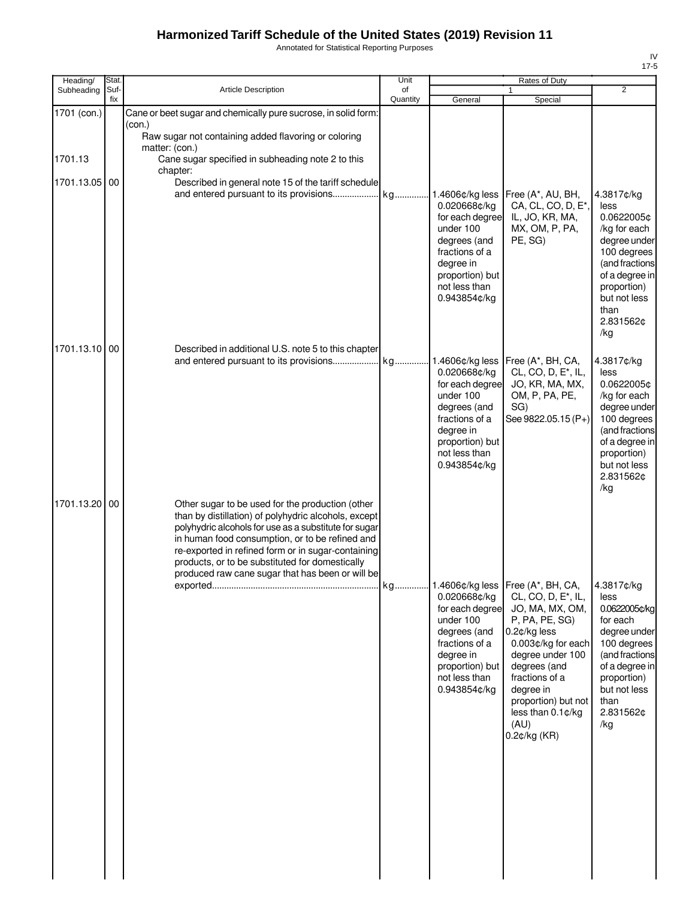Annotated for Statistical Reporting Purposes

| Heading/      | Stat.       |                                                                                                                                                                                                                                                                                                                                                                                   | Unit           |                                                                                                                                                                    | Rates of Duty                                                                                                                                                                                                                                        |                                                                                                                                                                                |
|---------------|-------------|-----------------------------------------------------------------------------------------------------------------------------------------------------------------------------------------------------------------------------------------------------------------------------------------------------------------------------------------------------------------------------------|----------------|--------------------------------------------------------------------------------------------------------------------------------------------------------------------|------------------------------------------------------------------------------------------------------------------------------------------------------------------------------------------------------------------------------------------------------|--------------------------------------------------------------------------------------------------------------------------------------------------------------------------------|
| Subheading    | Suf-<br>fix | <b>Article Description</b>                                                                                                                                                                                                                                                                                                                                                        | of<br>Quantity | General                                                                                                                                                            | $\mathbf{1}$<br>Special                                                                                                                                                                                                                              | $\overline{2}$                                                                                                                                                                 |
| 1701 (con.)   |             | Cane or beet sugar and chemically pure sucrose, in solid form:<br>(con.)<br>Raw sugar not containing added flavoring or coloring<br>matter: (con.)                                                                                                                                                                                                                                |                |                                                                                                                                                                    |                                                                                                                                                                                                                                                      |                                                                                                                                                                                |
| 1701.13       |             | Cane sugar specified in subheading note 2 to this<br>chapter:                                                                                                                                                                                                                                                                                                                     |                |                                                                                                                                                                    |                                                                                                                                                                                                                                                      |                                                                                                                                                                                |
| 1701.13.05 00 |             | Described in general note 15 of the tariff schedule                                                                                                                                                                                                                                                                                                                               |                | 1.4606¢/kg less<br>0.020668¢/kg<br>for each degree<br>under 100<br>degrees (and<br>fractions of a<br>degree in<br>proportion) but<br>not less than<br>0.943854¢/kg | Free (A*, AU, BH,<br>CA, CL, CO, D, E <sup>*</sup> ,<br>IL, JO, KR, MA,<br>MX, OM, P, PA,<br>PE, SG)                                                                                                                                                 | 4.3817¢/kg<br>less<br>0.0622005¢<br>/kg for each<br>degree under<br>100 degrees<br>(and fractions<br>of a degree in<br>proportion)<br>but not less<br>than<br>2.831562¢<br>/kg |
| 1701.13.10 00 |             | Described in additional U.S. note 5 to this chapter<br>and entered pursuant to its provisions                                                                                                                                                                                                                                                                                     | kg             | 1.4606¢/kg less<br>0.020668¢/kg<br>for each degree<br>under 100<br>degrees (and<br>fractions of a<br>degree in<br>proportion) but<br>not less than<br>0.943854¢/kg | Free (A*, BH, CA,<br>CL, CO, D, E <sup>*</sup> , IL,<br>JO, KR, MA, MX,<br>OM, P, PA, PE,<br>SG)<br>See 9822.05.15 (P+)                                                                                                                              | 4.3817¢/kg<br>less<br>0.0622005¢<br>/kg for each<br>degree under<br>100 degrees<br>(and fractions<br>of a degree in<br>proportion)<br>but not less<br>2.831562¢<br>/kg         |
| 1701.13.20 00 |             | Other sugar to be used for the production (other<br>than by distillation) of polyhydric alcohols, except<br>polyhydric alcohols for use as a substitute for sugar<br>in human food consumption, or to be refined and<br>re-exported in refined form or in sugar-containing<br>products, or to be substituted for domestically<br>produced raw cane sugar that has been or will be |                | 0.020668¢/kg<br>for each degree<br>under 100<br>degrees (and<br>fractions of a<br>degree in<br>proportion) but<br>not less than<br>0.943854¢/kg                    | CL, CO, D, E <sup>*</sup> , IL,<br>JO, MA, MX, OM,<br>P, PA, PE, SG)<br>0.2¢/kg less<br>0.003¢/kg for each<br>degree under 100<br>degrees (and<br>fractions of a<br>degree in<br>proportion) but not<br>less than 0.1¢/kg<br>(AU)<br>$0.2$ ¢/kg (KR) | 4.3817¢/kg<br>less<br>0.0622005¢/kg<br>for each<br>degree under<br>100 degrees<br>(and fractions<br>of a degree in<br>proportion)<br>but not less<br>than<br>2.831562¢<br>/kg  |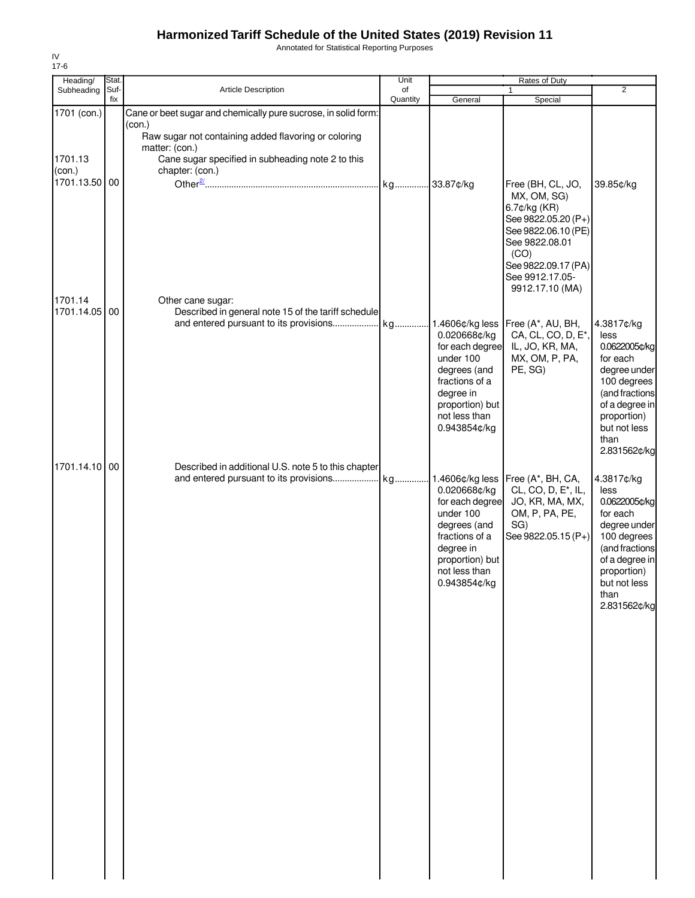Annotated for Statistical Reporting Purposes

| Heading/                                          | Stat.       |                                                                                                                                                                                                                            | Unit           |                                                                                                                                                 | Rates of Duty                                                                                                                                                   |                                                                                                                                                                           |
|---------------------------------------------------|-------------|----------------------------------------------------------------------------------------------------------------------------------------------------------------------------------------------------------------------------|----------------|-------------------------------------------------------------------------------------------------------------------------------------------------|-----------------------------------------------------------------------------------------------------------------------------------------------------------------|---------------------------------------------------------------------------------------------------------------------------------------------------------------------------|
| Subheading                                        | Suf-<br>fix | Article Description                                                                                                                                                                                                        | of<br>Quantity |                                                                                                                                                 |                                                                                                                                                                 | $\overline{2}$                                                                                                                                                            |
| 1701 (con.)<br>1701.13<br>$con.$<br>1701.13.50 00 |             | Cane or beet sugar and chemically pure sucrose, in solid form:<br>(con.)<br>Raw sugar not containing added flavoring or coloring<br>matter: (con.)<br>Cane sugar specified in subheading note 2 to this<br>chapter: (con.) |                | General                                                                                                                                         | Special<br>Free (BH, CL, JO,<br>MX, OM, SG)<br>6.7¢/kg (KR)<br>See 9822.05.20 (P+)<br>See 9822.06.10 (PE)<br>See 9822.08.01<br>(CO)<br>See 9822.09.17 (PA)      | 39.85¢/kg                                                                                                                                                                 |
| 1701.14<br>1701.14.05 00                          |             | Other cane sugar:<br>Described in general note 15 of the tariff schedule<br>and entered pursuant to its provisions                                                                                                         |                | 0.020668¢/kg<br>for each degree<br>under 100<br>degrees (and<br>fractions of a<br>degree in<br>proportion) but<br>not less than<br>0.943854¢/kg | See 9912.17.05-<br>9912.17.10 (MA)<br>kg 1.4606¢/kg less   Free (A*, AU, BH,<br>CA, CL, CO, D, E <sup>*</sup> ,<br>IL, JO, KR, MA,<br>MX, OM, P, PA,<br>PE, SG) | 4.3817¢/kg<br>less<br>0.0622005¢/kg<br>for each<br>degree under<br>100 degrees<br>(and fractions<br>of a degree in<br>proportion)<br>but not less<br>than<br>2.831562¢/kg |
| 1701.14.10 00                                     |             | Described in additional U.S. note 5 to this chapter<br>and entered pursuant to its provisions                                                                                                                              | kg             | 0.020668¢/kg<br>for each degree<br>under 100<br>degrees (and<br>fractions of a<br>degree in<br>proportion) but<br>not less than<br>0.943854¢/kg | 1.4606¢/kg less   Free (A*, BH, CA,<br>CL, CO, D, E <sup>*</sup> , IL,<br>JO, KR, MA, MX,<br>OM, P, PA, PE,<br>SG)<br>See 9822.05.15 (P+)                       | 4.3817¢/kg<br>less<br>0.0622005¢/kg<br>for each<br>degree under<br>100 degrees<br>(and fractions<br>of a degree in<br>proportion)<br>but not less<br>than<br>2.831562¢/kg |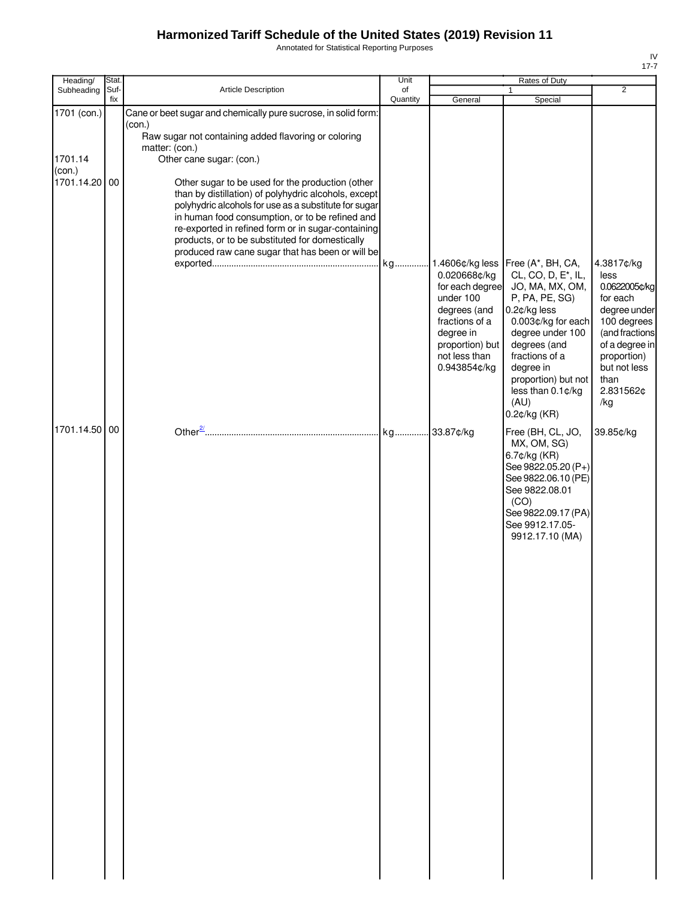Annotated for Statistical Reporting Purposes

| Heading/                                                                         | Stat. |                                                                                                                                                                                                                                                                                                                                                                                                                                                                                                                                                                                            | Unit     |                                                                                                                                                 | Rates of Duty                                                                                                                                                                                                                                                                                                                                                                                                                                                                                           |                                                                                                                                                                                                              |
|----------------------------------------------------------------------------------|-------|--------------------------------------------------------------------------------------------------------------------------------------------------------------------------------------------------------------------------------------------------------------------------------------------------------------------------------------------------------------------------------------------------------------------------------------------------------------------------------------------------------------------------------------------------------------------------------------------|----------|-------------------------------------------------------------------------------------------------------------------------------------------------|---------------------------------------------------------------------------------------------------------------------------------------------------------------------------------------------------------------------------------------------------------------------------------------------------------------------------------------------------------------------------------------------------------------------------------------------------------------------------------------------------------|--------------------------------------------------------------------------------------------------------------------------------------------------------------------------------------------------------------|
|                                                                                  | fix   |                                                                                                                                                                                                                                                                                                                                                                                                                                                                                                                                                                                            | Quantity | General                                                                                                                                         | Special                                                                                                                                                                                                                                                                                                                                                                                                                                                                                                 |                                                                                                                                                                                                              |
| Subheading<br>1701 (con.)<br>1701.14<br>(con.)<br>1701.14.20 00<br>1701.14.50 00 | Suf-  | Article Description<br>Cane or beet sugar and chemically pure sucrose, in solid form:<br>(con.)<br>Raw sugar not containing added flavoring or coloring<br>matter: (con.)<br>Other cane sugar: (con.)<br>Other sugar to be used for the production (other<br>than by distillation) of polyhydric alcohols, except<br>polyhydric alcohols for use as a substitute for sugar<br>in human food consumption, or to be refined and<br>re-exported in refined form or in sugar-containing<br>products, or to be substituted for domestically<br>produced raw cane sugar that has been or will be | of       | 0.020668¢/kg<br>for each degree<br>under 100<br>degrees (and<br>fractions of a<br>degree in<br>proportion) but<br>not less than<br>0.943854¢/kg | $\mathbf{1}$<br>kg 1.4606¢/kg less   Free (A*, BH, CA,<br>CL, CO, D, E <sup>*</sup> , IL,<br>JO, MA, MX, OM,<br>P, PA, PE, SG)<br>0.2¢/kg less<br>0.003¢/kg for each<br>degree under 100<br>degrees (and<br>fractions of a<br>degree in<br>proportion) but not<br>less than 0.1¢/kg<br>(AU)<br>$0.2$ ¢/kg (KR)<br>Free (BH, CL, JO,<br>MX, OM, SG)<br>6.7¢/kg (KR)<br>See 9822.05.20 (P+)<br>See 9822.06.10 (PE)<br>See 9822.08.01<br>(CO)<br>See 9822.09.17 (PA)<br>See 9912.17.05-<br>9912.17.10 (MA) | $\overline{2}$<br>4.3817¢/kg<br>less<br>0.0622005¢/kg<br>for each<br>degree under<br>100 degrees<br>(and fractions<br>of a degree in<br>proportion)<br>but not less<br>than<br>2.831562¢<br>/kg<br>39.85¢/kg |
|                                                                                  |       |                                                                                                                                                                                                                                                                                                                                                                                                                                                                                                                                                                                            |          |                                                                                                                                                 |                                                                                                                                                                                                                                                                                                                                                                                                                                                                                                         |                                                                                                                                                                                                              |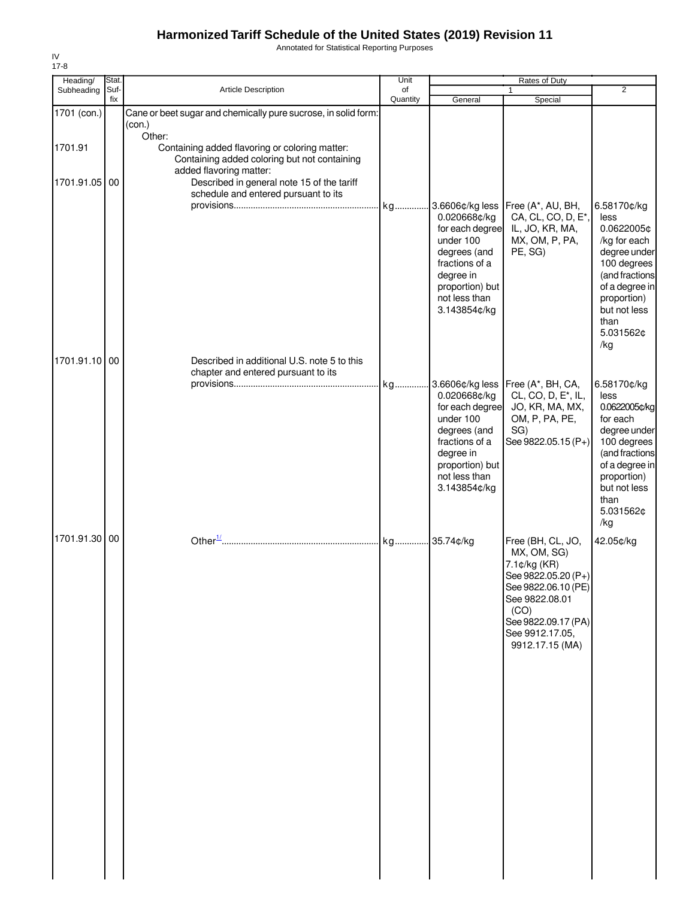Annotated for Statistical Reporting Purposes

| Heading/      | Stat.       |                                                                                                                           | Unit           |                                                                                                                                                                    | Rates of Duty                                                                                                                                                                         |                                                                                                                                                                                |
|---------------|-------------|---------------------------------------------------------------------------------------------------------------------------|----------------|--------------------------------------------------------------------------------------------------------------------------------------------------------------------|---------------------------------------------------------------------------------------------------------------------------------------------------------------------------------------|--------------------------------------------------------------------------------------------------------------------------------------------------------------------------------|
| Subheading    | Suf-<br>fix | Article Description                                                                                                       | of<br>Quantity | General                                                                                                                                                            | $\mathbf{1}$<br>Special                                                                                                                                                               | 2                                                                                                                                                                              |
| 1701 (con.)   |             | Cane or beet sugar and chemically pure sucrose, in solid form:<br>(con.)<br>Other:                                        |                |                                                                                                                                                                    |                                                                                                                                                                                       |                                                                                                                                                                                |
| 1701.91       |             | Containing added flavoring or coloring matter:<br>Containing added coloring but not containing<br>added flavoring matter: |                |                                                                                                                                                                    |                                                                                                                                                                                       |                                                                                                                                                                                |
| 1701.91.05    | 00          | Described in general note 15 of the tariff<br>schedule and entered pursuant to its                                        |                | 3.6606¢/kg less                                                                                                                                                    | Free (A*, AU, BH,                                                                                                                                                                     | 6.58170¢/kg                                                                                                                                                                    |
|               |             |                                                                                                                           |                | 0.020668¢/kg<br>for each degree<br>under 100<br>degrees (and<br>fractions of a<br>degree in<br>proportion) but<br>not less than<br>3.143854¢/kg                    | CA, CL, CO, D, E*,<br>IL, JO, KR, MA,<br>MX, OM, P, PA,<br>PE, SG)                                                                                                                    | less<br>0.0622005¢<br>/kg for each<br>degree under<br>100 degrees<br>(and fractions<br>of a degree in<br>proportion)<br>but not less<br>than<br>5.031562¢<br>/kg               |
| 1701.91.10 00 |             | Described in additional U.S. note 5 to this                                                                               |                |                                                                                                                                                                    |                                                                                                                                                                                       |                                                                                                                                                                                |
|               |             | chapter and entered pursuant to its                                                                                       |                | 3.6606¢/kg less<br>0.020668¢/kg<br>for each degree<br>under 100<br>degrees (and<br>fractions of a<br>degree in<br>proportion) but<br>not less than<br>3.143854¢/kg | Free (A*, BH, CA,<br>CL, CO, D, E <sup>*</sup> , IL,<br>JO, KR, MA, MX,<br>OM, P, PA, PE,<br>SG)<br>See 9822.05.15 (P+)                                                               | 6.58170¢/kg<br>less<br>0.0622005¢/kg<br>for each<br>degree under<br>100 degrees<br>(and fractions<br>of a degree in<br>proportion)<br>but not less<br>than<br>5.031562¢<br>/kg |
| 1701.91.30 00 |             |                                                                                                                           |                |                                                                                                                                                                    | Free (BH, CL, JO,<br>MX, OM, SG)<br>7.1¢/kg (KR)<br>See 9822.05.20 (P+)<br>See 9822.06.10 (PE)<br>See 9822.08.01<br>(CO)<br>See 9822.09.17 (PA)<br>See 9912.17.05,<br>9912.17.15 (MA) | 42.05¢/kg                                                                                                                                                                      |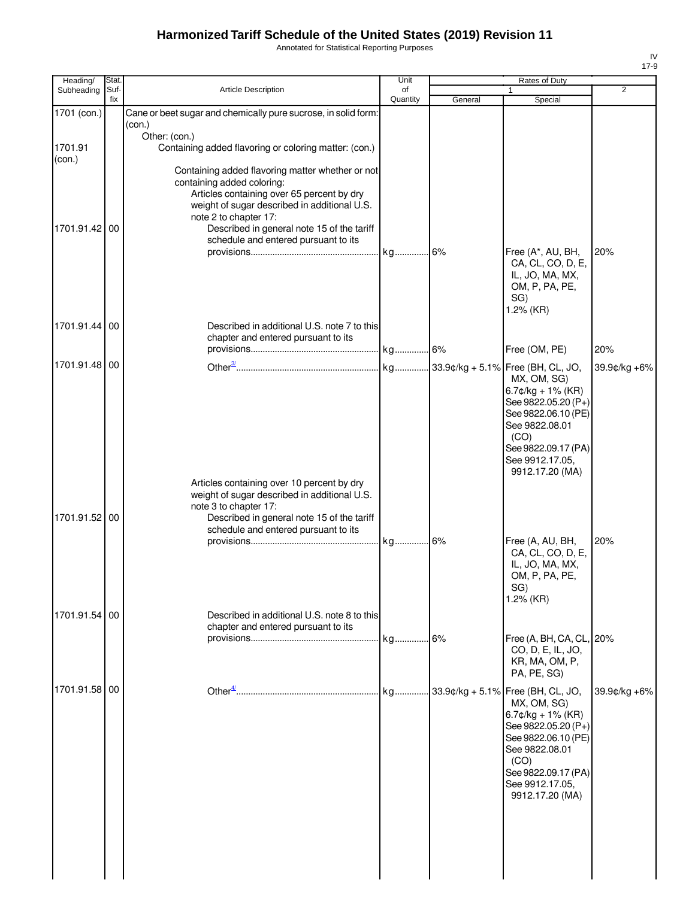Annotated for Statistical Reporting Purposes

| Heading/          | Stat.       |                                                                                                                                                                                                                                                                                             | Unit           | Rates of Duty |                                                                                                                                                                          |              |
|-------------------|-------------|---------------------------------------------------------------------------------------------------------------------------------------------------------------------------------------------------------------------------------------------------------------------------------------------|----------------|---------------|--------------------------------------------------------------------------------------------------------------------------------------------------------------------------|--------------|
| Subheading        | Suf-<br>fix | <b>Article Description</b>                                                                                                                                                                                                                                                                  | of<br>Quantity | General       | $\mathbf{1}$<br>Special                                                                                                                                                  | 2            |
| 1701 (con.)       |             | Cane or beet sugar and chemically pure sucrose, in solid form:<br>(con.)                                                                                                                                                                                                                    |                |               |                                                                                                                                                                          |              |
| 1701.91<br>(con.) |             | Other: (con.)<br>Containing added flavoring or coloring matter: (con.)                                                                                                                                                                                                                      |                |               |                                                                                                                                                                          |              |
| 1701.91.42        | 00          | Containing added flavoring matter whether or not<br>containing added coloring:<br>Articles containing over 65 percent by dry<br>weight of sugar described in additional U.S.<br>note 2 to chapter 17:<br>Described in general note 15 of the tariff<br>schedule and entered pursuant to its |                |               |                                                                                                                                                                          |              |
|                   |             |                                                                                                                                                                                                                                                                                             |                |               | Free (A*, AU, BH,<br>CA, CL, CO, D, E,<br>IL, JO, MA, MX,<br>OM, P, PA, PE,<br>SG)<br>1.2% (KR)                                                                          | 20%          |
| 1701.91.44 00     |             | Described in additional U.S. note 7 to this<br>chapter and entered pursuant to its                                                                                                                                                                                                          |                |               | Free (OM, PE)                                                                                                                                                            | 20%          |
| 1701.91.48 00     |             |                                                                                                                                                                                                                                                                                             |                |               | MX, OM, SG)<br>$6.7$ ¢/kg + 1% (KR)                                                                                                                                      | 39.9¢/kg +6% |
|                   |             |                                                                                                                                                                                                                                                                                             |                |               | See 9822.05.20 (P+)<br>See 9822.06.10 (PE)<br>See 9822.08.01<br>(CO)<br>See 9822.09.17 (PA)<br>See 9912.17.05,<br>9912.17.20 (MA)                                        |              |
| 1701.91.52 00     |             | Articles containing over 10 percent by dry<br>weight of sugar described in additional U.S.<br>note 3 to chapter 17:<br>Described in general note 15 of the tariff<br>schedule and entered pursuant to its                                                                                   |                |               |                                                                                                                                                                          |              |
|                   |             |                                                                                                                                                                                                                                                                                             |                |               | Free (A, AU, BH,<br>CA, CL, CO, D, E,<br>IL, JO, MA, MX,<br>OM, P, PA, PE,<br>SG)<br>1.2% (KR)                                                                           | 20%          |
| 1701.91.54 00     |             | Described in additional U.S. note 8 to this<br>chapter and entered pursuant to its                                                                                                                                                                                                          |                |               |                                                                                                                                                                          |              |
|                   |             |                                                                                                                                                                                                                                                                                             |                |               | Free (A, BH, CA, CL, 20%<br>CO, D, E, IL, JO,<br>KR, MA, OM, P,<br>PA, PE, SG)                                                                                           |              |
| 1701.91.58 00     |             |                                                                                                                                                                                                                                                                                             |                |               | MX, OM, SG)<br>$6.7$ ¢/kg + 1% (KR)<br>See 9822.05.20 (P+)<br>See 9822.06.10 (PE)<br>See 9822.08.01<br>(CO)<br>See 9822.09.17 (PA)<br>See 9912.17.05,<br>9912.17.20 (MA) | 39.9¢/kg +6% |
|                   |             |                                                                                                                                                                                                                                                                                             |                |               |                                                                                                                                                                          |              |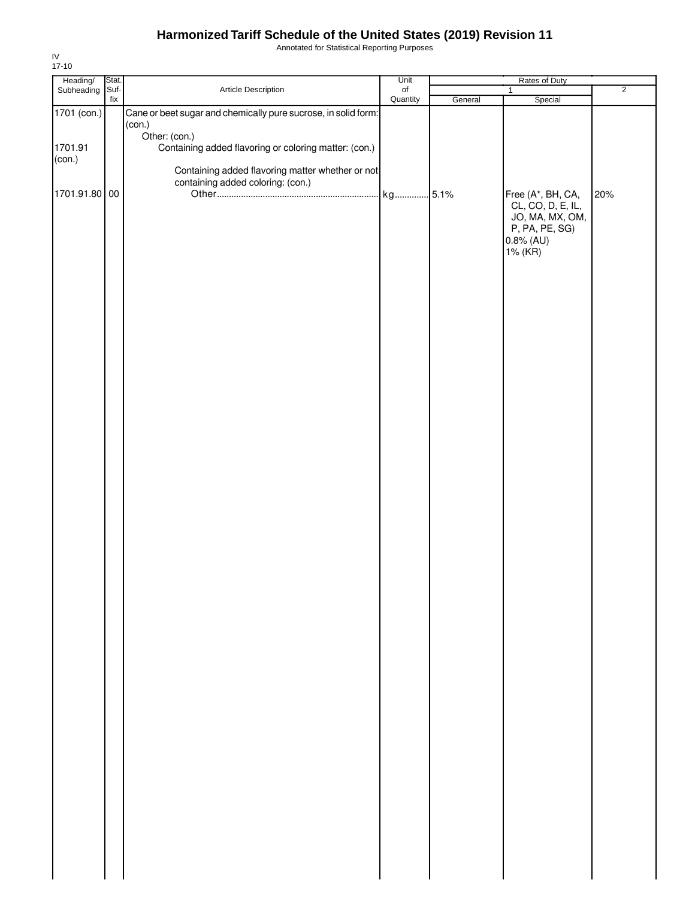Annotated for Statistical Reporting Purposes

| Heading/ Stat.<br>Subheading Suf- |     |                                                                | Unit             | Rates of Duty |                                   |                |
|-----------------------------------|-----|----------------------------------------------------------------|------------------|---------------|-----------------------------------|----------------|
|                                   | fix | Article Description                                            | $_{\mathsf{of}}$ |               | $\mathbf{1}$                      | $\overline{2}$ |
| 1701 (con.)                       |     | Cane or beet sugar and chemically pure sucrose, in solid form: | Quantity         | General       | Special                           |                |
|                                   |     | (con.)<br>Other: (con.)                                        |                  |               |                                   |                |
| 1701.91                           |     | Containing added flavoring or coloring matter: (con.)          |                  |               |                                   |                |
| (con.)                            |     | Containing added flavoring matter whether or not               |                  |               |                                   |                |
| 1701.91.80 00                     |     | containing added coloring: (con.)                              |                  |               | Free (A*, BH, CA,                 | 20%            |
|                                   |     |                                                                |                  |               | CL, CO, D, E, IL,                 |                |
|                                   |     |                                                                |                  |               | JO, MA, MX, OM,<br>P, PA, PE, SG) |                |
|                                   |     |                                                                |                  |               | 0.8% (AU)                         |                |
|                                   |     |                                                                |                  |               | 1% (KR)                           |                |
|                                   |     |                                                                |                  |               |                                   |                |
|                                   |     |                                                                |                  |               |                                   |                |
|                                   |     |                                                                |                  |               |                                   |                |
|                                   |     |                                                                |                  |               |                                   |                |
|                                   |     |                                                                |                  |               |                                   |                |
|                                   |     |                                                                |                  |               |                                   |                |
|                                   |     |                                                                |                  |               |                                   |                |
|                                   |     |                                                                |                  |               |                                   |                |
|                                   |     |                                                                |                  |               |                                   |                |
|                                   |     |                                                                |                  |               |                                   |                |
|                                   |     |                                                                |                  |               |                                   |                |
|                                   |     |                                                                |                  |               |                                   |                |
|                                   |     |                                                                |                  |               |                                   |                |
|                                   |     |                                                                |                  |               |                                   |                |
|                                   |     |                                                                |                  |               |                                   |                |
|                                   |     |                                                                |                  |               |                                   |                |
|                                   |     |                                                                |                  |               |                                   |                |
|                                   |     |                                                                |                  |               |                                   |                |
|                                   |     |                                                                |                  |               |                                   |                |
|                                   |     |                                                                |                  |               |                                   |                |
|                                   |     |                                                                |                  |               |                                   |                |
|                                   |     |                                                                |                  |               |                                   |                |
|                                   |     |                                                                |                  |               |                                   |                |
|                                   |     |                                                                |                  |               |                                   |                |
|                                   |     |                                                                |                  |               |                                   |                |
|                                   |     |                                                                |                  |               |                                   |                |
|                                   |     |                                                                |                  |               |                                   |                |
|                                   |     |                                                                |                  |               |                                   |                |
|                                   |     |                                                                |                  |               |                                   |                |
|                                   |     |                                                                |                  |               |                                   |                |
|                                   |     |                                                                |                  |               |                                   |                |
|                                   |     |                                                                |                  |               |                                   |                |
|                                   |     |                                                                |                  |               |                                   |                |
|                                   |     |                                                                |                  |               |                                   |                |
|                                   |     |                                                                |                  |               |                                   |                |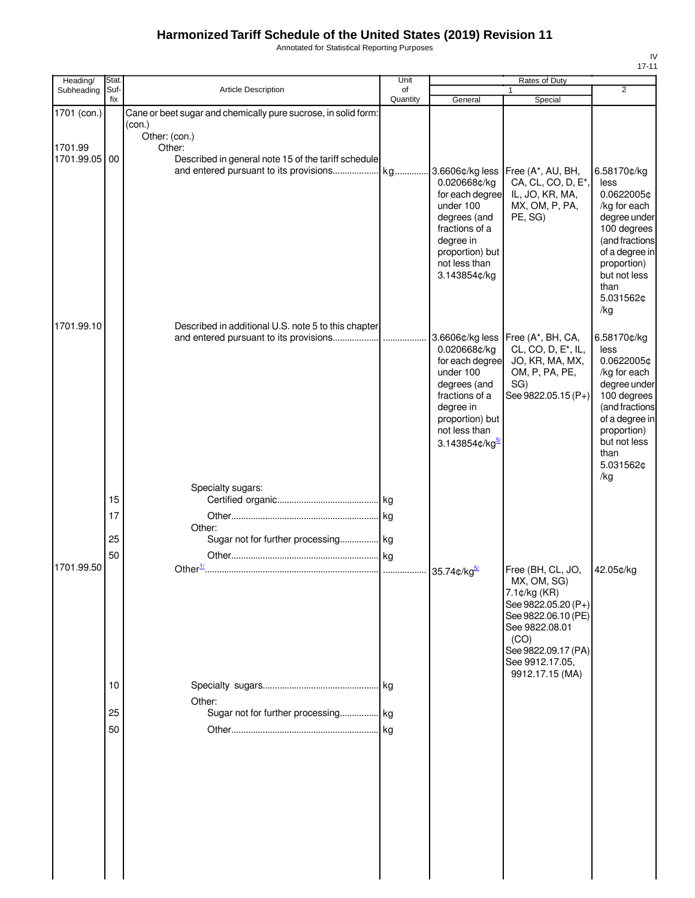Annotated for Statistical Reporting Purposes

| Heading/                 | Stat.          |                                                                                | Unit           | Rates of Duty                                                                                                                                                      |                                                                                                                                   |                                                                                                                                                                                 |
|--------------------------|----------------|--------------------------------------------------------------------------------|----------------|--------------------------------------------------------------------------------------------------------------------------------------------------------------------|-----------------------------------------------------------------------------------------------------------------------------------|---------------------------------------------------------------------------------------------------------------------------------------------------------------------------------|
| Subheading               | Suf-<br>fix    | Article Description                                                            | of<br>Quantity | General                                                                                                                                                            | 1                                                                                                                                 | $\overline{2}$                                                                                                                                                                  |
| 1701 (con.)              |                | Cane or beet sugar and chemically pure sucrose, in solid form:<br>(con.)       |                |                                                                                                                                                                    | Special                                                                                                                           |                                                                                                                                                                                 |
| 1701.99<br>1701.99.05 00 |                | Other: (con.)<br>Other:<br>Described in general note 15 of the tariff schedule |                | 0.020668¢/kg<br>for each degree<br>under 100<br>degrees (and<br>fractions of a<br>degree in<br>proportion) but<br>not less than<br>3.143854¢/kg                    | Free (A*, AU, BH,<br>CA, CL, CO, D, E*,<br>IL, JO, KR, MA,<br>MX, OM, P, PA,<br>PE, SG)                                           | 6.58170¢/kg<br>less<br>0.0622005¢<br>/kg for each<br>degree under<br>100 degrees<br>(and fractions<br>of a degree in<br>proportion)<br>but not less<br>than<br>5.031562¢<br>/kg |
| 1701.99.10               |                | Described in additional U.S. note 5 to this chapter                            |                | 3.6606¢/kg less<br>0.020668¢/kg<br>for each degree<br>under 100<br>degrees (and<br>fractions of a<br>degree in<br>proportion) but<br>not less than<br>3.143854¢/kg | Free (A*, BH, CA,<br>CL, CO, D, E <sup>*</sup> , IL,<br>JO, KR, MA, MX,<br>OM, P, PA, PE,<br>SG)<br>See 9822.05.15 (P+)           | 6.58170¢/kg<br>less<br>0.0622005¢<br>/kg for each<br>degree under<br>100 degrees<br>(and fractions<br>of a degree in<br>proportion)<br>but not less<br>than<br>5.031562¢<br>/kg |
|                          | 15<br>17       | Specialty sugars:<br>Other:                                                    |                |                                                                                                                                                                    |                                                                                                                                   |                                                                                                                                                                                 |
| 1701.99.50               | 25<br>50       | Sugar not for further processing kg                                            |                |                                                                                                                                                                    | Free (BH, CL, JO,<br>MX, OM, SG)<br>7.1¢/kg (KR)                                                                                  | 42.05¢/kg                                                                                                                                                                       |
|                          | 10<br>25<br>50 | Other:<br>Sugar not for further processing kg                                  |                |                                                                                                                                                                    | See 9822.05.20 (P+)<br>See 9822.06.10 (PE)<br>See 9822.08.01<br>(CO)<br>See 9822.09.17 (PA)<br>See 9912.17.05.<br>9912.17.15 (MA) |                                                                                                                                                                                 |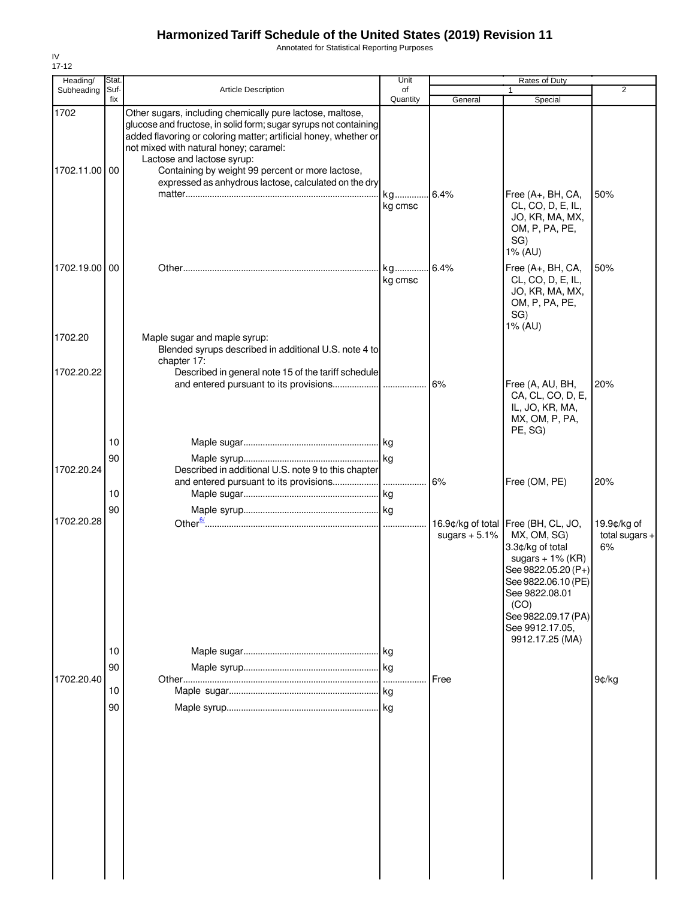Annotated for Statistical Reporting Purposes

| Heading/              | Stat.       |                                                                                                                                                                                                                                                                                                                                                                                        | Unit           |                 | Rates of Duty                                                                                                                                                                                                                      |                                       |
|-----------------------|-------------|----------------------------------------------------------------------------------------------------------------------------------------------------------------------------------------------------------------------------------------------------------------------------------------------------------------------------------------------------------------------------------------|----------------|-----------------|------------------------------------------------------------------------------------------------------------------------------------------------------------------------------------------------------------------------------------|---------------------------------------|
| Subheading            | Suf-<br>fix | <b>Article Description</b>                                                                                                                                                                                                                                                                                                                                                             | of<br>Quantity | General         | Special                                                                                                                                                                                                                            | 2                                     |
| 1702<br>1702.11.00 00 |             | Other sugars, including chemically pure lactose, maltose,<br>glucose and fructose, in solid form; sugar syrups not containing<br>added flavoring or coloring matter; artificial honey, whether or<br>not mixed with natural honey; caramel:<br>Lactose and lactose syrup:<br>Containing by weight 99 percent or more lactose,<br>expressed as anhydrous lactose, calculated on the dry |                |                 |                                                                                                                                                                                                                                    |                                       |
|                       |             |                                                                                                                                                                                                                                                                                                                                                                                        | kg<br>kg cmsc  | 6.4%            | Free (A+, BH, CA,<br>CL, CO, D, E, IL,<br>JO, KR, MA, MX,<br>OM, P, PA, PE,<br>SG)<br>1% (AU)                                                                                                                                      | 50%                                   |
| 1702.19.00 00         |             |                                                                                                                                                                                                                                                                                                                                                                                        | kg<br>kg cmsc  | .6.4%           | Free (A+, BH, CA,<br>CL, CO, D, E, IL,<br>JO, KR, MA, MX,<br>OM, P, PA, PE,<br>SG)<br>1% (AU)                                                                                                                                      | 50%                                   |
| 1702.20               |             | Maple sugar and maple syrup:<br>Blended syrups described in additional U.S. note 4 to<br>chapter 17:                                                                                                                                                                                                                                                                                   |                |                 |                                                                                                                                                                                                                                    |                                       |
| 1702.20.22            |             | Described in general note 15 of the tariff schedule                                                                                                                                                                                                                                                                                                                                    |                | 6%              | Free (A, AU, BH,<br>CA, CL, CO, D, E,<br>IL, JO, KR, MA,<br>MX, OM, P, PA,<br>PE, SG)                                                                                                                                              | 20%                                   |
| 1702.20.24            | 10<br>90    | Described in additional U.S. note 9 to this chapter                                                                                                                                                                                                                                                                                                                                    |                |                 |                                                                                                                                                                                                                                    |                                       |
|                       | 10<br>90    |                                                                                                                                                                                                                                                                                                                                                                                        |                | 6%              | Free (OM, PE)                                                                                                                                                                                                                      | 20%                                   |
| 1702.20.28            | 10<br>90    |                                                                                                                                                                                                                                                                                                                                                                                        |                | sugars $+5.1\%$ | 16.9¢/kg of total Free (BH, CL, JO,<br>MX, OM, SG)<br>3.3¢/kg of total<br>sugars $+ 1\%$ (KR)<br>See 9822.05.20 (P+)<br>See 9822.06.10 (PE)<br>See 9822.08.01<br>(CO)<br>See 9822.09.17 (PA)<br>See 9912.17.05,<br>9912.17.25 (MA) | 19.9¢/kg of<br>total sugars $+$<br>6% |
| 1702.20.40            | 10<br>90    |                                                                                                                                                                                                                                                                                                                                                                                        |                | Free            |                                                                                                                                                                                                                                    | 9¢/kg                                 |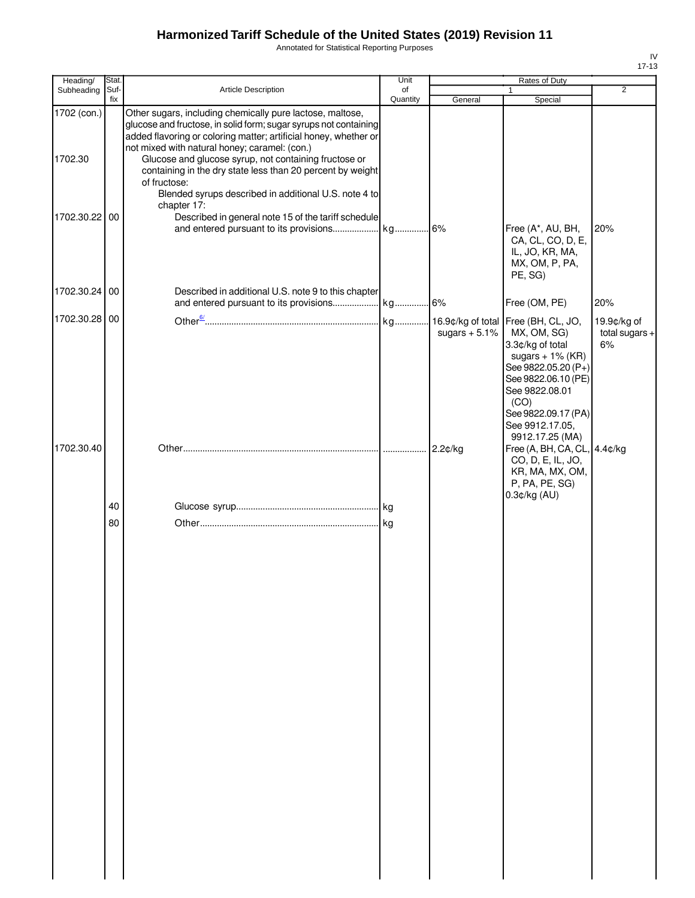Annotated for Statistical Reporting Purposes

| Article Description<br>Other sugars, including chemically pure lactose, maltose,<br>glucose and fructose, in solid form; sugar syrups not containing<br>added flavoring or coloring matter; artificial honey, whether or<br>not mixed with natural honey; caramel: (con.)<br>Glucose and glucose syrup, not containing fructose or<br>containing in the dry state less than 20 percent by weight | of<br>Quantity                                                     | General         | $\mathbf{1}$<br>Special                                                                                                                                                  | 2                                                                                                     |
|--------------------------------------------------------------------------------------------------------------------------------------------------------------------------------------------------------------------------------------------------------------------------------------------------------------------------------------------------------------------------------------------------|--------------------------------------------------------------------|-----------------|--------------------------------------------------------------------------------------------------------------------------------------------------------------------------|-------------------------------------------------------------------------------------------------------|
|                                                                                                                                                                                                                                                                                                                                                                                                  |                                                                    |                 |                                                                                                                                                                          |                                                                                                       |
|                                                                                                                                                                                                                                                                                                                                                                                                  |                                                                    |                 |                                                                                                                                                                          |                                                                                                       |
| of fructose:<br>Blended syrups described in additional U.S. note 4 to                                                                                                                                                                                                                                                                                                                            |                                                                    |                 |                                                                                                                                                                          |                                                                                                       |
|                                                                                                                                                                                                                                                                                                                                                                                                  |                                                                    |                 | Free (A*, AU, BH,                                                                                                                                                        | 20%                                                                                                   |
|                                                                                                                                                                                                                                                                                                                                                                                                  |                                                                    |                 | IL, JO, KR, MA,<br>MX, OM, P, PA,<br>PE, SG)                                                                                                                             |                                                                                                       |
| Described in additional U.S. note 9 to this chapter                                                                                                                                                                                                                                                                                                                                              |                                                                    |                 |                                                                                                                                                                          | 20%                                                                                                   |
|                                                                                                                                                                                                                                                                                                                                                                                                  |                                                                    | sugars $+5.1\%$ | MX, OM, SG)<br>3.3¢/kg of total<br>sugars $+ 1\%$ (KR)<br>See 9822.05.20 (P+)<br>See 9822.06.10 (PE)<br>See 9822.08.01<br>(CO)<br>See 9822.09.17 (PA)<br>See 9912.17.05, | 19.9¢/kg of<br>total sugars $+$<br>6%                                                                 |
|                                                                                                                                                                                                                                                                                                                                                                                                  |                                                                    |                 | CO, D, E, IL, JO,<br>KR, MA, MX, OM,<br>P, PA, PE, SG)                                                                                                                   |                                                                                                       |
|                                                                                                                                                                                                                                                                                                                                                                                                  |                                                                    |                 |                                                                                                                                                                          |                                                                                                       |
|                                                                                                                                                                                                                                                                                                                                                                                                  |                                                                    |                 |                                                                                                                                                                          |                                                                                                       |
|                                                                                                                                                                                                                                                                                                                                                                                                  |                                                                    |                 |                                                                                                                                                                          |                                                                                                       |
|                                                                                                                                                                                                                                                                                                                                                                                                  | chapter 17:<br>Described in general note 15 of the tariff schedule |                 |                                                                                                                                                                          | CA, CL, CO, D, E,<br>Free (OM, PE)<br>9912.17.25 (MA)<br>Free (A, BH, CA, CL, 4.4¢/kg<br>0.3¢/kg (AU) |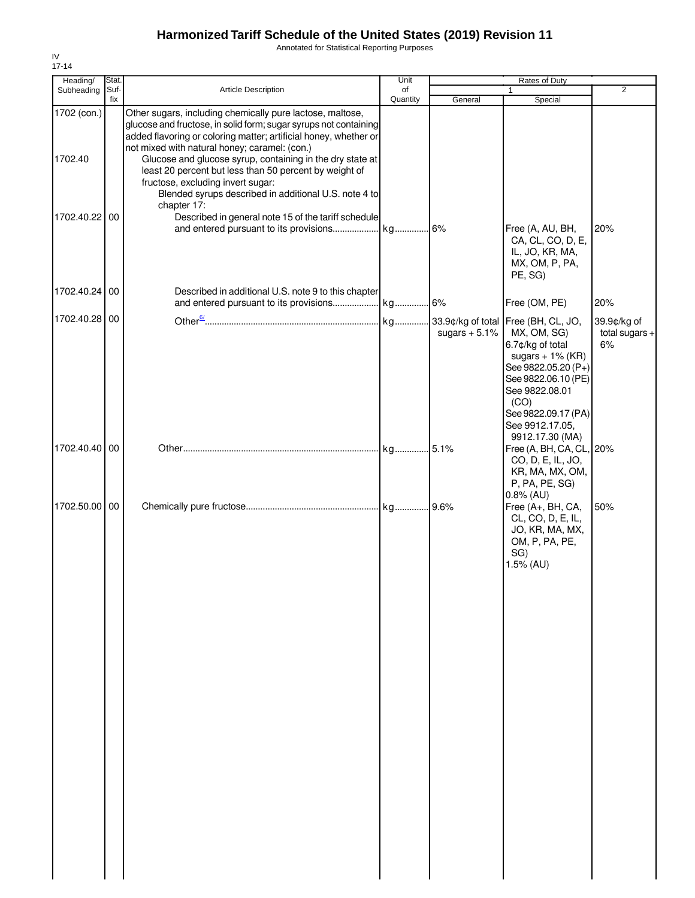Annotated for Statistical Reporting Purposes

| Heading/               | Stat.       |                                                                                                                                                                                                                                                                                                                                                                                                                                                                                        | Unit           |                | Rates of Duty                                                                                                                                                                                                                      |                                       |
|------------------------|-------------|----------------------------------------------------------------------------------------------------------------------------------------------------------------------------------------------------------------------------------------------------------------------------------------------------------------------------------------------------------------------------------------------------------------------------------------------------------------------------------------|----------------|----------------|------------------------------------------------------------------------------------------------------------------------------------------------------------------------------------------------------------------------------------|---------------------------------------|
| Subheading             | Suf-<br>fix | <b>Article Description</b>                                                                                                                                                                                                                                                                                                                                                                                                                                                             | of<br>Quantity | General        | $\mathbf{1}$<br>Special                                                                                                                                                                                                            | $\overline{2}$                        |
| 1702 (con.)<br>1702.40 |             | Other sugars, including chemically pure lactose, maltose,<br>glucose and fructose, in solid form; sugar syrups not containing<br>added flavoring or coloring matter; artificial honey, whether or<br>not mixed with natural honey; caramel: (con.)<br>Glucose and glucose syrup, containing in the dry state at<br>least 20 percent but less than 50 percent by weight of<br>fructose, excluding invert sugar:<br>Blended syrups described in additional U.S. note 4 to<br>chapter 17: |                |                |                                                                                                                                                                                                                                    |                                       |
| 1702.40.22 00          |             | Described in general note 15 of the tariff schedule                                                                                                                                                                                                                                                                                                                                                                                                                                    |                |                | Free (A, AU, BH,<br>CA, CL, CO, D, E,<br>IL, JO, KR, MA,<br>MX, OM, P, PA,<br>PE, SG)                                                                                                                                              | 20%                                   |
| 1702.40.24 00          |             | Described in additional U.S. note 9 to this chapter                                                                                                                                                                                                                                                                                                                                                                                                                                    |                |                | Free (OM, PE)                                                                                                                                                                                                                      | 20%                                   |
| 1702.40.28 00          |             |                                                                                                                                                                                                                                                                                                                                                                                                                                                                                        |                | sugars $+5.1%$ | 33.9¢/kg of total Free (BH, CL, JO,<br>MX, OM, SG)<br>6.7¢/kg of total<br>sugars $+ 1\%$ (KR)<br>See 9822.05.20 (P+)<br>See 9822.06.10 (PE)<br>See 9822.08.01<br>(CO)<br>See 9822.09.17 (PA)<br>See 9912.17.05,<br>9912.17.30 (MA) | 39.9¢/kg of<br>total sugars $+$<br>6% |
| 1702.40.40 00          |             |                                                                                                                                                                                                                                                                                                                                                                                                                                                                                        |                |                | Free (A, BH, CA, CL, 20%<br>CO, D, E, IL, JO,<br>KR, MA, MX, OM,<br>P, PA, PE, SG)<br>$0.8\%$ (AU)                                                                                                                                 |                                       |
| 1702.50.00 00          |             |                                                                                                                                                                                                                                                                                                                                                                                                                                                                                        |                |                | Free (A+, BH, CA,<br>CL, CO, D, E, IL,<br>JO, KR, MA, MX,<br>OM, P, PA, PE,<br>SG)<br>1.5% (AU)                                                                                                                                    | 50%                                   |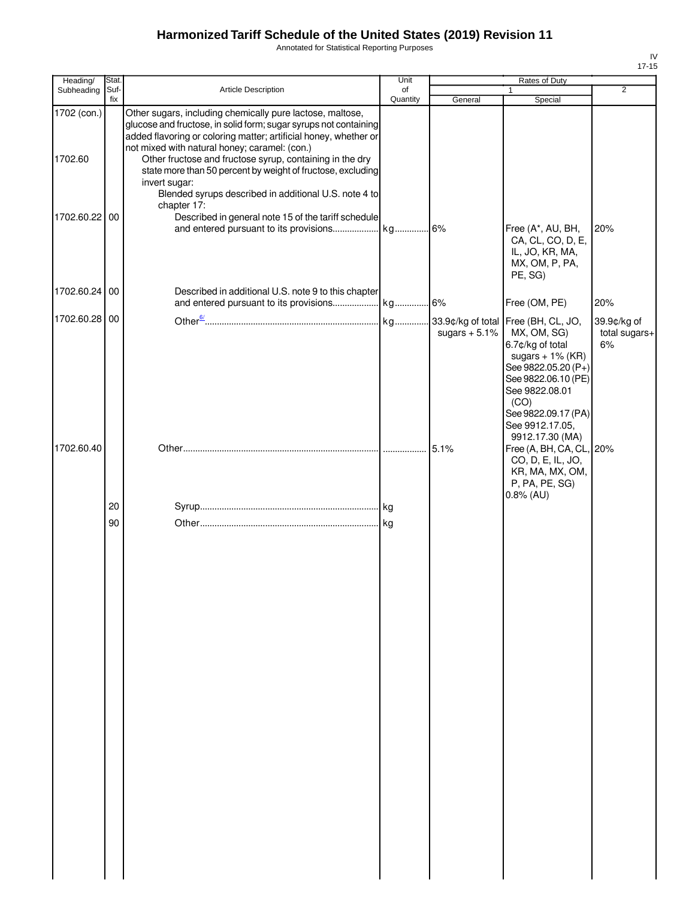Annotated for Statistical Reporting Purposes

| Heading/               | Stat.       |                                                                                                                                                                                                                                                                                                                                                                                                                                                                        | Unit           |                 | Rates of Duty                                                                                                                                                                                                                      |                                    |
|------------------------|-------------|------------------------------------------------------------------------------------------------------------------------------------------------------------------------------------------------------------------------------------------------------------------------------------------------------------------------------------------------------------------------------------------------------------------------------------------------------------------------|----------------|-----------------|------------------------------------------------------------------------------------------------------------------------------------------------------------------------------------------------------------------------------------|------------------------------------|
| Subheading             | Suf-<br>fix | Article Description                                                                                                                                                                                                                                                                                                                                                                                                                                                    | of<br>Quantity | General         | Special                                                                                                                                                                                                                            | $\overline{2}$                     |
| 1702 (con.)<br>1702.60 |             | Other sugars, including chemically pure lactose, maltose,<br>glucose and fructose, in solid form; sugar syrups not containing<br>added flavoring or coloring matter; artificial honey, whether or<br>not mixed with natural honey; caramel: (con.)<br>Other fructose and fructose syrup, containing in the dry<br>state more than 50 percent by weight of fructose, excluding<br>invert sugar:<br>Blended syrups described in additional U.S. note 4 to<br>chapter 17: |                |                 |                                                                                                                                                                                                                                    |                                    |
| 1702.60.22 00          |             | Described in general note 15 of the tariff schedule                                                                                                                                                                                                                                                                                                                                                                                                                    |                |                 | Free (A*, AU, BH,<br>CA, CL, CO, D, E,<br>IL, JO, KR, MA,<br>MX, OM, P, PA,<br>PE, SG)                                                                                                                                             | 20%                                |
| 1702.60.24 00          |             | Described in additional U.S. note 9 to this chapter                                                                                                                                                                                                                                                                                                                                                                                                                    |                |                 | Free (OM, PE)                                                                                                                                                                                                                      | 20%                                |
| 1702.60.28 00          |             |                                                                                                                                                                                                                                                                                                                                                                                                                                                                        |                | sugars $+5.1\%$ | 33.9¢/kg of total Free (BH, CL, JO,<br>MX, OM, SG)<br>6.7¢/kg of total<br>sugars $+ 1\%$ (KR)<br>See 9822.05.20 (P+)<br>See 9822.06.10 (PE)<br>See 9822.08.01<br>(CO)<br>See 9822.09.17 (PA)<br>See 9912.17.05,<br>9912.17.30 (MA) | 39.9¢/kg of<br>total sugars+<br>6% |
| 1702.60.40             |             |                                                                                                                                                                                                                                                                                                                                                                                                                                                                        |                | 5.1%            | Free (A, BH, CA, CL, 20%<br>CO, D, E, IL, JO,<br>KR, MA, MX, OM,<br>P, PA, PE, SG)<br>$0.8\%$ (AU)                                                                                                                                 |                                    |
|                        | 20          |                                                                                                                                                                                                                                                                                                                                                                                                                                                                        |                |                 |                                                                                                                                                                                                                                    |                                    |
|                        | 90          |                                                                                                                                                                                                                                                                                                                                                                                                                                                                        |                |                 |                                                                                                                                                                                                                                    |                                    |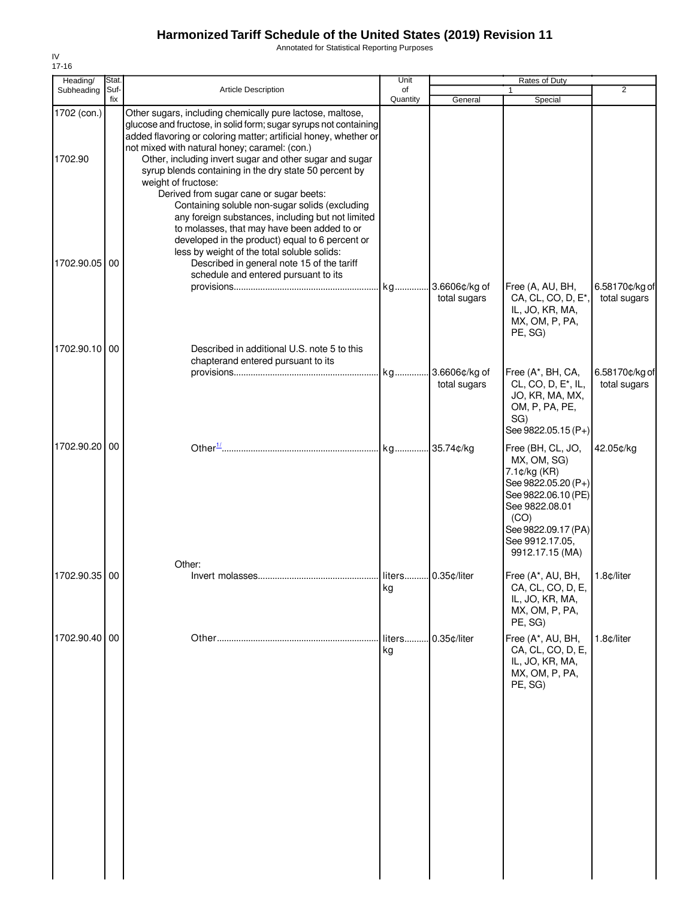Annotated for Statistical Reporting Purposes

| 17-16<br>Heading/      | Stat.       |                                                                                                                                                                                                                                                                                                                                                                                                                                           | Unit                     |                               | Rates of Duty                                                                                                                                                                         |                                |
|------------------------|-------------|-------------------------------------------------------------------------------------------------------------------------------------------------------------------------------------------------------------------------------------------------------------------------------------------------------------------------------------------------------------------------------------------------------------------------------------------|--------------------------|-------------------------------|---------------------------------------------------------------------------------------------------------------------------------------------------------------------------------------|--------------------------------|
| Subheading             | Suf-<br>fix | <b>Article Description</b>                                                                                                                                                                                                                                                                                                                                                                                                                | of<br>Quantity           | General                       | 1<br>Special                                                                                                                                                                          | $\overline{2}$                 |
| 1702 (con.)<br>1702.90 |             | Other sugars, including chemically pure lactose, maltose,<br>glucose and fructose, in solid form; sugar syrups not containing<br>added flavoring or coloring matter; artificial honey, whether or<br>not mixed with natural honey; caramel: (con.)<br>Other, including invert sugar and other sugar and sugar<br>syrup blends containing in the dry state 50 percent by<br>weight of fructose:<br>Derived from sugar cane or sugar beets: |                          |                               |                                                                                                                                                                                       |                                |
| 1702.90.05 00          |             | Containing soluble non-sugar solids (excluding<br>any foreign substances, including but not limited<br>to molasses, that may have been added to or<br>developed in the product) equal to 6 percent or<br>less by weight of the total soluble solids:<br>Described in general note 15 of the tariff<br>schedule and entered pursuant to its                                                                                                | kg                       | 3.6606¢/kg of<br>total sugars | Free (A, AU, BH,<br>CA, CL, CO, D, E*,<br>IL, JO, KR, MA,<br>MX, OM, P, PA,<br>PE, SG)                                                                                                | 6.58170¢/kg of<br>total sugars |
| 1702.90.10 00          |             | Described in additional U.S. note 5 to this                                                                                                                                                                                                                                                                                                                                                                                               |                          |                               |                                                                                                                                                                                       |                                |
|                        |             | chapterand entered pursuant to its                                                                                                                                                                                                                                                                                                                                                                                                        |                          | 3.6606¢/kg of<br>total sugars | Free (A*, BH, CA,<br>CL, CO, D, E <sup>*</sup> , IL,<br>JO, KR, MA, MX,<br>OM, P, PA, PE,<br>SG)                                                                                      | 6.58170¢/kg of<br>total sugars |
|                        |             |                                                                                                                                                                                                                                                                                                                                                                                                                                           |                          |                               | See 9822.05.15 (P+)                                                                                                                                                                   |                                |
| 1702.90.20 00          |             | Other:                                                                                                                                                                                                                                                                                                                                                                                                                                    |                          |                               | Free (BH, CL, JO,<br>MX, OM, SG)<br>7.1¢/kg (KR)<br>See 9822.05.20 (P+)<br>See 9822.06.10 (PE)<br>See 9822.08.01<br>(CO)<br>See 9822.09.17 (PA)<br>See 9912.17.05,<br>9912.17.15 (MA) | 42.05¢/kg                      |
| 1702.90.35   00        |             |                                                                                                                                                                                                                                                                                                                                                                                                                                           | liters 0.35¢/liter<br>kg |                               | Free (A*, AU, BH,<br>CA, CL, CO, D, E,<br>IL, JO, KR, MA,<br>MX, OM, P, PA,<br>PE, SG)                                                                                                | 1.8¢/liter                     |
| 1702.90.40 00          |             |                                                                                                                                                                                                                                                                                                                                                                                                                                           | liters<br>kg             | 0.35¢/liter                   | Free (A*, AU, BH,<br>CA, CL, CO, D, E,<br>IL, JO, KR, MA,<br>MX, OM, P, PA,<br>PE, SG)                                                                                                | 1.8¢/liter                     |
|                        |             |                                                                                                                                                                                                                                                                                                                                                                                                                                           |                          |                               |                                                                                                                                                                                       |                                |

IV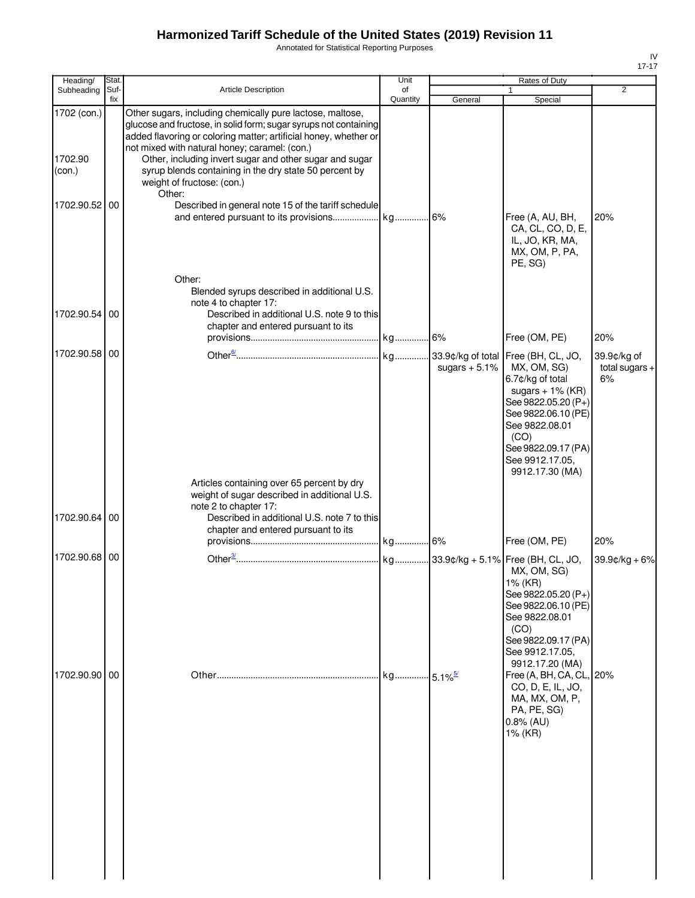Annotated for Statistical Reporting Purposes

| Heading/                         | Stat.       |                                                                                                                                                                                                                                                                                                                                                                                                                 | Unit           |                        | <b>Rates of Duty</b>                                                                                                                                                                        |                                       |
|----------------------------------|-------------|-----------------------------------------------------------------------------------------------------------------------------------------------------------------------------------------------------------------------------------------------------------------------------------------------------------------------------------------------------------------------------------------------------------------|----------------|------------------------|---------------------------------------------------------------------------------------------------------------------------------------------------------------------------------------------|---------------------------------------|
| Subheading                       | Suf-<br>fix | <b>Article Description</b>                                                                                                                                                                                                                                                                                                                                                                                      | of<br>Quantity | General                | $\mathbf{1}$<br>Special                                                                                                                                                                     | 2                                     |
| 1702 (con.)<br>1702.90<br>(con.) |             | Other sugars, including chemically pure lactose, maltose,<br>glucose and fructose, in solid form; sugar syrups not containing<br>added flavoring or coloring matter; artificial honey, whether or<br>not mixed with natural honey; caramel: (con.)<br>Other, including invert sugar and other sugar and sugar<br>syrup blends containing in the dry state 50 percent by<br>weight of fructose: (con.)<br>Other: |                |                        |                                                                                                                                                                                             |                                       |
| 1702.90.52 00                    |             | Described in general note 15 of the tariff schedule<br>Other:                                                                                                                                                                                                                                                                                                                                                   |                |                        | Free (A, AU, BH,<br>CA, CL, CO, D, E,<br>IL, JO, KR, MA,<br>MX, OM, P, PA,<br>PE, SG)                                                                                                       | 20%                                   |
| 1702.90.54                       | 00          | Blended syrups described in additional U.S.<br>note 4 to chapter 17:<br>Described in additional U.S. note 9 to this<br>chapter and entered pursuant to its                                                                                                                                                                                                                                                      |                |                        | Free (OM, PE)                                                                                                                                                                               | 20%                                   |
| 1702.90.58 00                    |             |                                                                                                                                                                                                                                                                                                                                                                                                                 |                | sugars $+5.1\%$        | MX, OM, SG)<br>6.7¢/kg of total<br>sugars $+ 1\%$ (KR)<br>See 9822.05.20 (P+)<br>See 9822.06.10 (PE)<br>See 9822.08.01<br>(CO)<br>See 9822.09.17 (PA)<br>See 9912.17.05,<br>9912.17.30 (MA) | 39.9¢/kg of<br>total sugars $+$<br>6% |
| 1702.90.64                       | 00          | Articles containing over 65 percent by dry<br>weight of sugar described in additional U.S.<br>note 2 to chapter 17:<br>Described in additional U.S. note 7 to this<br>chapter and entered pursuant to its                                                                                                                                                                                                       |                |                        |                                                                                                                                                                                             | 20%                                   |
| 1702.90.68 00                    |             |                                                                                                                                                                                                                                                                                                                                                                                                                 |                |                        | Free (OM, PE)<br>MX, OM, SG)<br>1% (KR)<br>See 9822.05.20 (P+)<br>See 9822.06.10 (PE)<br>See 9822.08.01<br>(CO)<br>See 9822.09.17 (PA)<br>See 9912.17.05,<br>9912.17.20 (MA)                | $39.9$ ¢/kg + 6%                      |
| 1702.90.90 00                    |             |                                                                                                                                                                                                                                                                                                                                                                                                                 | kg             | $-5.1\%$ <sup>5/</sup> | Free (A, BH, CA, CL, 20%<br>CO, D, E, IL, JO,<br>MA, MX, OM, P,<br>PA, PE, SG)<br>$0.8\%$ (AU)<br>1% (KR)                                                                                   |                                       |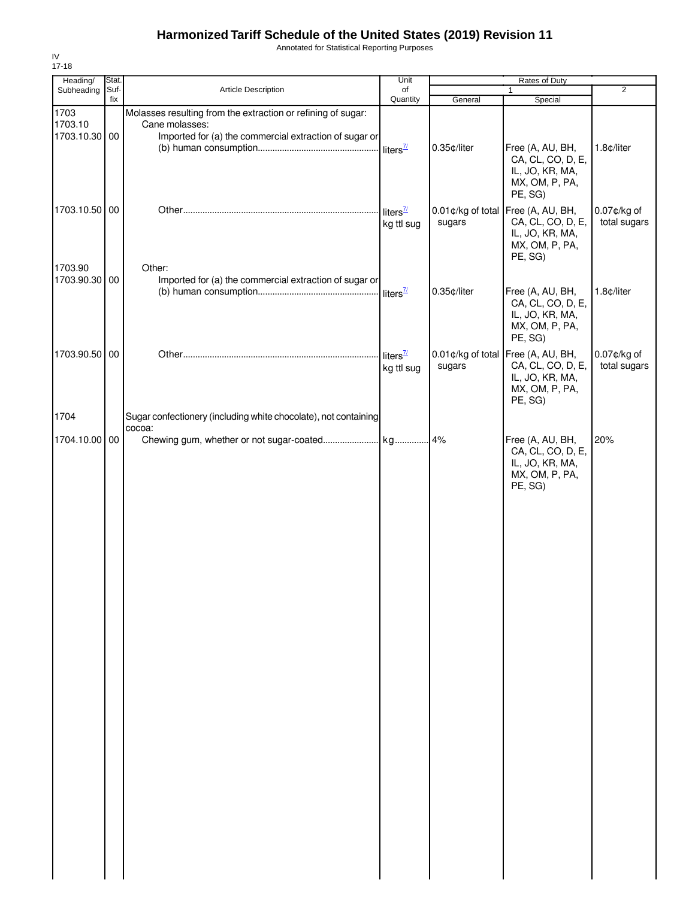Annotated for Statistical Reporting Purposes

| Heading/                         | Stat.       |                                                                                                                                          | Unit                                 | Rates of Duty               |                                                                                                         |                                |
|----------------------------------|-------------|------------------------------------------------------------------------------------------------------------------------------------------|--------------------------------------|-----------------------------|---------------------------------------------------------------------------------------------------------|--------------------------------|
| Subheading                       | Suf-<br>fix | Article Description                                                                                                                      | of<br>Quantity                       | General                     | Special                                                                                                 | $\overline{2}$                 |
| 1703<br>1703.10<br>1703.10.30 00 |             | Molasses resulting from the extraction or refining of sugar:<br>Cane molasses:<br>Imported for (a) the commercial extraction of sugar or |                                      |                             |                                                                                                         |                                |
|                                  |             |                                                                                                                                          |                                      | 0.35¢/liter                 | Free (A, AU, BH,<br>CA, CL, CO, D, E,<br>IL, JO, KR, MA,<br>MX, OM, P, PA,<br>PE, SG)                   | 1.8¢/liter                     |
| 1703.10.50 00                    |             |                                                                                                                                          | liters $\frac{\pi}{2}$<br>kg ttl sug | sugars                      | 0.01¢/kg of total Free (A, AU, BH,<br>CA, CL, CO, D, E,<br>IL, JO, KR, MA,<br>MX, OM, P, PA,<br>PE, SG) | $0.07$ ¢/kg of<br>total sugars |
| 1703.90<br>1703.90.30 00         |             | Other:<br>Imported for (a) the commercial extraction of sugar or                                                                         |                                      | 0.35¢/liter                 | Free (A, AU, BH,<br>CA, CL, CO, D, E,<br>IL, JO, KR, MA,<br>MX, OM, P, PA,<br>PE, SG)                   | 1.8¢/liter                     |
| 1703.90.50 00                    |             |                                                                                                                                          | liters $\frac{7}{2}$<br>kg ttl sug   | 0.01¢/kg of total<br>sugars | Free (A, AU, BH,<br>CA, CL, CO, D, E,<br>IL, JO, KR, MA,<br>MX, OM, P, PA,<br>PE, SG)                   | $0.07$ ¢/kg of<br>total sugars |
| 1704                             |             | Sugar confectionery (including white chocolate), not containing<br>cocoa:                                                                |                                      |                             |                                                                                                         |                                |
| 1704.10.00 00                    |             |                                                                                                                                          |                                      |                             | Free (A, AU, BH,<br>CA, CL, CO, D, E,<br>IL, JO, KR, MA,<br>MX, OM, P, PA,<br>PE, SG)                   | 20%                            |
|                                  |             |                                                                                                                                          |                                      |                             |                                                                                                         |                                |
|                                  |             |                                                                                                                                          |                                      |                             |                                                                                                         |                                |
|                                  |             |                                                                                                                                          |                                      |                             |                                                                                                         |                                |
|                                  |             |                                                                                                                                          |                                      |                             |                                                                                                         |                                |
|                                  |             |                                                                                                                                          |                                      |                             |                                                                                                         |                                |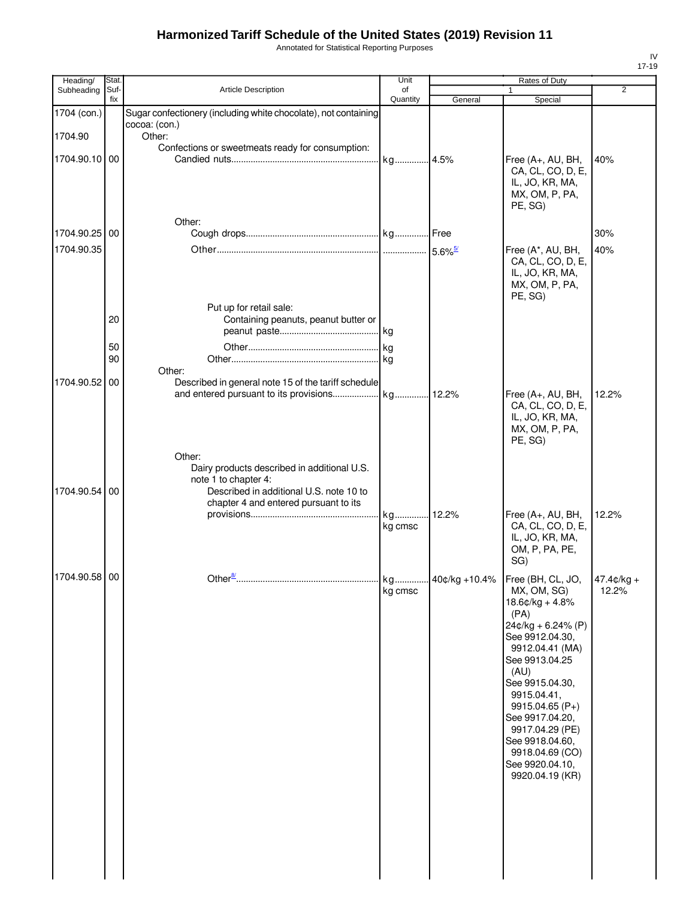Annotated for Statistical Reporting Purposes

| Heading/                 | Stat.       |                                                                                                                                                                   | Unit           |                       | <b>Rates of Duty</b>                                                                                                                                                                                                                                                                                                                         |                       |
|--------------------------|-------------|-------------------------------------------------------------------------------------------------------------------------------------------------------------------|----------------|-----------------------|----------------------------------------------------------------------------------------------------------------------------------------------------------------------------------------------------------------------------------------------------------------------------------------------------------------------------------------------|-----------------------|
| Subheading               | Suf-<br>fix | Article Description                                                                                                                                               | of<br>Quantity | General               | 1<br>Special                                                                                                                                                                                                                                                                                                                                 | $\overline{2}$        |
| 1704 (con.)              |             | Sugar confectionery (including white chocolate), not containing<br>cocoa: (con.)                                                                                  |                |                       |                                                                                                                                                                                                                                                                                                                                              |                       |
| 1704.90<br>1704.90.10 00 |             | Other:<br>Confections or sweetmeats ready for consumption:                                                                                                        |                |                       | Free (A+, AU, BH,                                                                                                                                                                                                                                                                                                                            | 40%                   |
|                          |             | Other:                                                                                                                                                            |                |                       | CA, CL, CO, D, E,<br>IL, JO, KR, MA,<br>MX, OM, P, PA,<br>PE, SG)                                                                                                                                                                                                                                                                            |                       |
| 1704.90.25 00            |             |                                                                                                                                                                   |                |                       |                                                                                                                                                                                                                                                                                                                                              | 30%                   |
| 1704.90.35               |             |                                                                                                                                                                   |                | $5.6\%$ <sup>5/</sup> | Free (A*, AU, BH,<br>CA, CL, CO, D, E,<br>IL, JO, KR, MA,<br>MX, OM, P, PA,<br>PE, SG)                                                                                                                                                                                                                                                       | 40%                   |
|                          | 20          | Put up for retail sale:<br>Containing peanuts, peanut butter or                                                                                                   |                |                       |                                                                                                                                                                                                                                                                                                                                              |                       |
|                          |             |                                                                                                                                                                   |                |                       |                                                                                                                                                                                                                                                                                                                                              |                       |
|                          | 50<br>90    | Other:                                                                                                                                                            |                |                       |                                                                                                                                                                                                                                                                                                                                              |                       |
| 1704.90.52               | 00          | Described in general note 15 of the tariff schedule                                                                                                               |                | 12.2%                 | Free (A+, AU, BH,<br>CA, CL, CO, D, E,<br>IL, JO, KR, MA,<br>MX, OM, P, PA,<br>PE, SG)                                                                                                                                                                                                                                                       | 12.2%                 |
| 1704.90.54               | 00          | Other:<br>Dairy products described in additional U.S.<br>note 1 to chapter 4:<br>Described in additional U.S. note 10 to<br>chapter 4 and entered pursuant to its | kg             | 12.2%                 | Free (A+, AU, BH,                                                                                                                                                                                                                                                                                                                            | 12.2%                 |
|                          |             |                                                                                                                                                                   | kg cmsc        |                       | CA, CL, CO, D, E,<br>IL, JO, KR, MA,<br>OM, P, PA, PE,<br>SG)                                                                                                                                                                                                                                                                                |                       |
| 1704.90.58 00            |             | Other $\frac{8}{3}$                                                                                                                                               | kg.<br>kg cmsc |                       | 40¢/kg +10.4%   Free (BH, CL, JO,<br>MX, OM, SG)<br>$18.6$ ¢/kg + 4.8%<br>(PA)<br>24¢/kg + 6.24% (P)<br>See 9912.04.30,<br>9912.04.41 (MA)<br>See 9913.04.25<br>(AU)<br>See 9915.04.30,<br>9915.04.41,<br>$9915.04.65(P+)$<br>See 9917.04.20,<br>9917.04.29 (PE)<br>See 9918.04.60,<br>9918.04.69 (CO)<br>See 9920.04.10,<br>9920.04.19 (KR) | $47.4¢/kg +$<br>12.2% |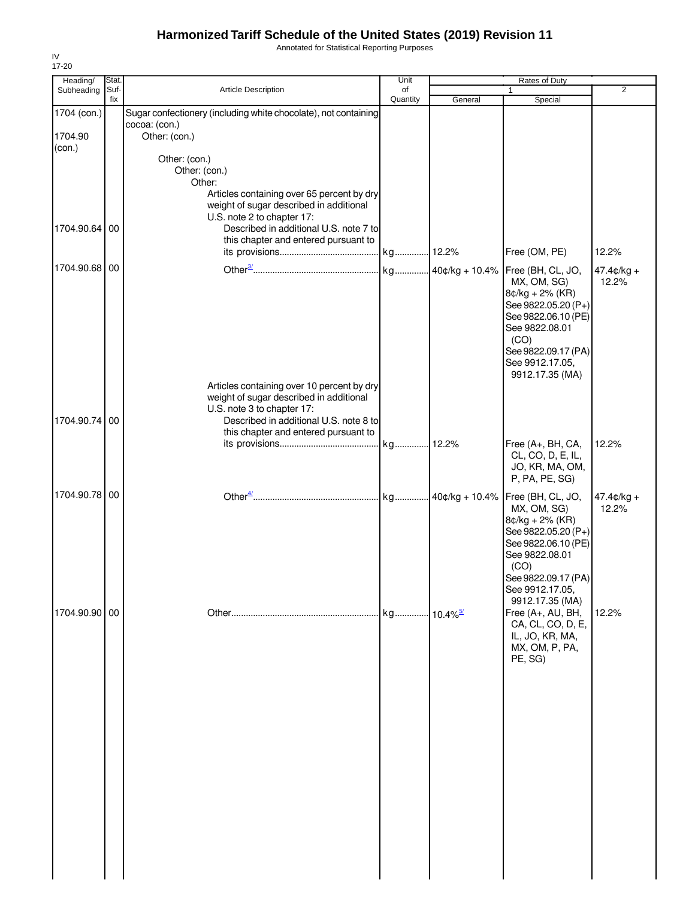Annotated for Statistical Reporting Purposes

| Heading/          | Stat.       |                                                                                                                                                               | Unit           |         | Rates of Duty                                                                                                                                                           |                       |
|-------------------|-------------|---------------------------------------------------------------------------------------------------------------------------------------------------------------|----------------|---------|-------------------------------------------------------------------------------------------------------------------------------------------------------------------------|-----------------------|
| Subheading        | Suf-<br>fix | <b>Article Description</b>                                                                                                                                    | of<br>Quantity | General | $\mathbf{1}$<br>Special                                                                                                                                                 | 2                     |
| 1704 (con.)       |             | Sugar confectionery (including white chocolate), not containing                                                                                               |                |         |                                                                                                                                                                         |                       |
| 1704.90<br>(con.) |             | cocoa: (con.)<br>Other: (con.)                                                                                                                                |                |         |                                                                                                                                                                         |                       |
|                   |             | Other: (con.)<br>Other: (con.)<br>Other:                                                                                                                      |                |         |                                                                                                                                                                         |                       |
| 1704.90.64        | 00          | Articles containing over 65 percent by dry<br>weight of sugar described in additional<br>U.S. note 2 to chapter 17:<br>Described in additional U.S. note 7 to |                |         |                                                                                                                                                                         |                       |
|                   |             | this chapter and entered pursuant to                                                                                                                          |                |         | Free (OM, PE)                                                                                                                                                           | 12.2%                 |
| 1704.90.68 00     |             |                                                                                                                                                               |                |         | Free (BH, CL, JO,<br>MX, OM, SG)<br>$8¢/kg + 2% (KR)$<br>See 9822.05.20 (P+)<br>See 9822.06.10 (PE)<br>See 9822.08.01<br>(CO)<br>See 9822.09.17 (PA)<br>See 9912.17.05, | $47.4¢/kg +$<br>12.2% |
| 1704.90.74        | 00          | Articles containing over 10 percent by dry<br>weight of sugar described in additional<br>U.S. note 3 to chapter 17:<br>Described in additional U.S. note 8 to |                |         | 9912.17.35 (MA)                                                                                                                                                         |                       |
|                   |             | this chapter and entered pursuant to                                                                                                                          |                |         | Free (A+, BH, CA,<br>CL, CO, D, E, IL,<br>JO, KR, MA, OM,<br>P, PA, PE, SG)                                                                                             | 12.2%                 |
| 1704.90.78 00     |             |                                                                                                                                                               |                |         | MX, OM, SG)<br>$8¢/kg + 2% (KR)$                                                                                                                                        | $47.4¢/kg +$<br>12.2% |
| 1704.90.90 00     |             |                                                                                                                                                               |                |         | See 9822.05.20 (P+)<br>See 9822.06.10 (PE)<br>See 9822.08.01<br>(CO)<br>See 9822.09.17 (PA)<br>See 9912.17.05,<br>9912.17.35 (MA)<br>Free (A+, AU, BH,                  | 12.2%                 |
|                   |             |                                                                                                                                                               |                |         | CA, CL, CO, D, E,<br>IL, JO, KR, MA,<br>MX, OM, P, PA,<br>PE, SG)                                                                                                       |                       |
|                   |             |                                                                                                                                                               |                |         |                                                                                                                                                                         |                       |
|                   |             |                                                                                                                                                               |                |         |                                                                                                                                                                         |                       |
|                   |             |                                                                                                                                                               |                |         |                                                                                                                                                                         |                       |
|                   |             |                                                                                                                                                               |                |         |                                                                                                                                                                         |                       |
|                   |             |                                                                                                                                                               |                |         |                                                                                                                                                                         |                       |